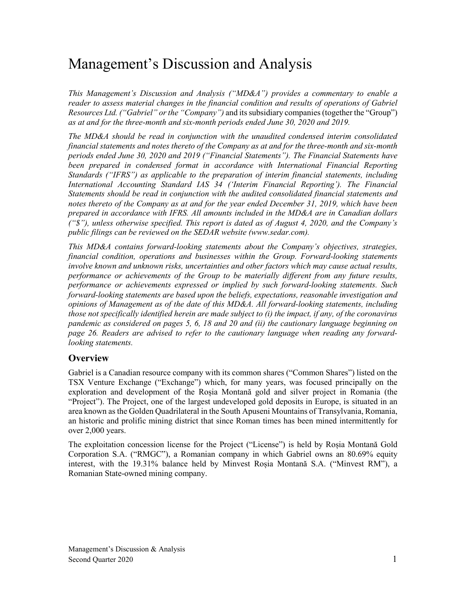# Management's Discussion and Analysis

*This Management's Discussion and Analysis ("MD&A") provides a commentary to enable a reader to assess material changes in the financial condition and results of operations of Gabriel Resources Ltd. ("Gabriel" or the "Company")* and its subsidiary companies (together the "Group") *as at and for the three-month and six-month periods ended June 30, 2020 and 2019.*

*The MD&A should be read in conjunction with the unaudited condensed interim consolidated financial statements and notes thereto of the Company as at and for the three-month and six-month periods ended June 30, 2020 and 2019 ("Financial Statements"). The Financial Statements have*  been prepared in condensed format in accordance with International Financial Reporting *Standards ("IFRS") as applicable to the preparation of interim financial statements, including International Accounting Standard IAS 34 ('Interim Financial Reporting'). The Financial Statements should be read in conjunction with the audited consolidated financial statements and notes thereto of the Company as at and for the year ended December 31, 2019, which have been prepared in accordance with IFRS. All amounts included in the MD&A are in Canadian dollars ("\$"), unless otherwise specified. This report is dated as of August 4, 2020, and the Company's public filings can be reviewed on the SEDAR website (www.sedar.com).*

*This MD&A contains forward-looking statements about the Company's objectives, strategies, financial condition, operations and businesses within the Group. Forward-looking statements involve known and unknown risks, uncertainties and other factors which may cause actual results, performance or achievements of the Group to be materially different from any future results, performance or achievements expressed or implied by such forward-looking statements. Such forward-looking statements are based upon the beliefs, expectations, reasonable investigation and opinions of Management as of the date of this MD&A. All forward-looking statements, including those not specifically identified herein are made subject to (i) the impact, if any, of the coronavirus pandemic as considered on pages 5, 6, 18 and 20 and (ii) the cautionary language beginning on page 26. Readers are advised to refer to the cautionary language when reading any forwardlooking statements.*

## **Overview**

Gabriel is a Canadian resource company with its common shares ("Common Shares") listed on the TSX Venture Exchange ("Exchange") which, for many years, was focused principally on the exploration and development of the Roșia Montană gold and silver project in Romania (the "Project"). The Project, one of the largest undeveloped gold deposits in Europe, is situated in an area known as the Golden Quadrilateral in the South Apuseni Mountains of Transylvania, Romania, an historic and prolific mining district that since Roman times has been mined intermittently for over 2,000 years.

The exploitation concession license for the Project ("License") is held by Roșia Montană Gold Corporation S.A. ("RMGC"), a Romanian company in which Gabriel owns an 80.69% equity interest, with the 19.31% balance held by Minvest Roșia Montană S.A. ("Minvest RM"), a Romanian State-owned mining company.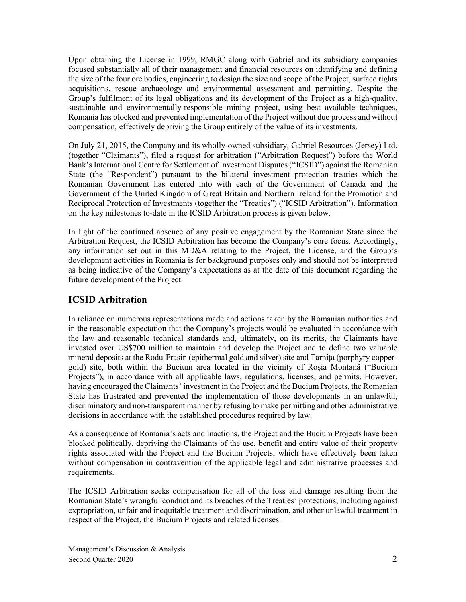Upon obtaining the License in 1999, RMGC along with Gabriel and its subsidiary companies focused substantially all of their management and financial resources on identifying and defining the size of the four ore bodies, engineering to design the size and scope of the Project, surface rights acquisitions, rescue archaeology and environmental assessment and permitting. Despite the Group's fulfilment of its legal obligations and its development of the Project as a high-quality, sustainable and environmentally-responsible mining project, using best available techniques, Romania has blocked and prevented implementation of the Project without due process and without compensation, effectively depriving the Group entirely of the value of its investments.

On July 21, 2015, the Company and its wholly-owned subsidiary, Gabriel Resources (Jersey) Ltd. (together "Claimants"), filed a request for arbitration ("Arbitration Request") before the World Bank's International Centre for Settlement of Investment Disputes ("ICSID") against the Romanian State (the "Respondent") pursuant to the bilateral investment protection treaties which the Romanian Government has entered into with each of the Government of Canada and the Government of the United Kingdom of Great Britain and Northern Ireland for the Promotion and Reciprocal Protection of Investments (together the "Treaties") ("ICSID Arbitration"). Information on the key milestones to-date in the ICSID Arbitration process is given below.

In light of the continued absence of any positive engagement by the Romanian State since the Arbitration Request, the ICSID Arbitration has become the Company's core focus. Accordingly, any information set out in this MD&A relating to the Project, the License, and the Group's development activities in Romania is for background purposes only and should not be interpreted as being indicative of the Company's expectations as at the date of this document regarding the future development of the Project.

## **ICSID Arbitration**

In reliance on numerous representations made and actions taken by the Romanian authorities and in the reasonable expectation that the Company's projects would be evaluated in accordance with the law and reasonable technical standards and, ultimately, on its merits, the Claimants have invested over US\$700 million to maintain and develop the Project and to define two valuable mineral deposits at the Rodu-Frasin (epithermal gold and silver) site and Tarnita (porphyry coppergold) site, both within the Bucium area located in the vicinity of Roşia Montană ("Bucium Projects"), in accordance with all applicable laws, regulations, licenses, and permits. However, having encouraged the Claimants' investment in the Project and the Bucium Projects, the Romanian State has frustrated and prevented the implementation of those developments in an unlawful, discriminatory and non-transparent manner by refusing to make permitting and other administrative decisions in accordance with the established procedures required by law.

As a consequence of Romania's acts and inactions, the Project and the Bucium Projects have been blocked politically, depriving the Claimants of the use, benefit and entire value of their property rights associated with the Project and the Bucium Projects, which have effectively been taken without compensation in contravention of the applicable legal and administrative processes and requirements.

The ICSID Arbitration seeks compensation for all of the loss and damage resulting from the Romanian State's wrongful conduct and its breaches of the Treaties' protections, including against expropriation, unfair and inequitable treatment and discrimination, and other unlawful treatment in respect of the Project, the Bucium Projects and related licenses.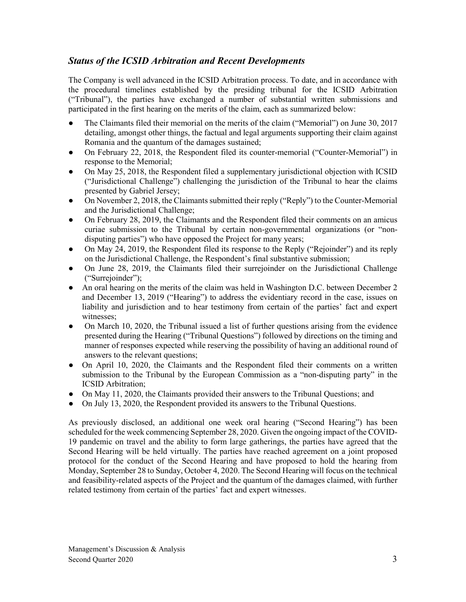## *Status of the ICSID Arbitration and Recent Developments*

The Company is well advanced in the ICSID Arbitration process. To date, and in accordance with the procedural timelines established by the presiding tribunal for the ICSID Arbitration ("Tribunal"), the parties have exchanged a number of substantial written submissions and participated in the first hearing on the merits of the claim, each as summarized below:

- The Claimants filed their memorial on the merits of the claim ("Memorial") on June 30, 2017 detailing, amongst other things, the factual and legal arguments supporting their claim against Romania and the quantum of the damages sustained;
- On February 22, 2018, the Respondent filed its counter-memorial ("Counter-Memorial") in response to the Memorial;
- On May 25, 2018, the Respondent filed a supplementary jurisdictional objection with ICSID ("Jurisdictional Challenge") challenging the jurisdiction of the Tribunal to hear the claims presented by Gabriel Jersey;
- On November 2, 2018, the Claimants submitted their reply ("Reply") to the Counter-Memorial and the Jurisdictional Challenge;
- On February 28, 2019, the Claimants and the Respondent filed their comments on an amicus curiae submission to the Tribunal by certain non-governmental organizations (or "nondisputing parties") who have opposed the Project for many years;
- On May 24, 2019, the Respondent filed its response to the Reply ("Rejoinder") and its reply on the Jurisdictional Challenge, the Respondent's final substantive submission;
- On June 28, 2019, the Claimants filed their surrejoinder on the Jurisdictional Challenge ("Surrejoinder");
- An oral hearing on the merits of the claim was held in Washington D.C. between December 2 and December 13, 2019 ("Hearing") to address the evidentiary record in the case, issues on liability and jurisdiction and to hear testimony from certain of the parties' fact and expert witnesses;
- On March 10, 2020, the Tribunal issued a list of further questions arising from the evidence presented during the Hearing ("Tribunal Questions") followed by directions on the timing and manner of responses expected while reserving the possibility of having an additional round of answers to the relevant questions;
- On April 10, 2020, the Claimants and the Respondent filed their comments on a written submission to the Tribunal by the European Commission as a "non-disputing party" in the ICSID Arbitration;
- On May 11, 2020, the Claimants provided their answers to the Tribunal Questions; and
- On July 13, 2020, the Respondent provided its answers to the Tribunal Questions.

As previously disclosed, an additional one week oral hearing ("Second Hearing") has been scheduled for the week commencing September 28, 2020. Given the ongoing impact of the COVID-19 pandemic on travel and the ability to form large gatherings, the parties have agreed that the Second Hearing will be held virtually. The parties have reached agreement on a joint proposed protocol for the conduct of the Second Hearing and have proposed to hold the hearing from Monday, September 28 to Sunday, October 4, 2020. The Second Hearing will focus on the technical and feasibility-related aspects of the Project and the quantum of the damages claimed, with further related testimony from certain of the parties' fact and expert witnesses.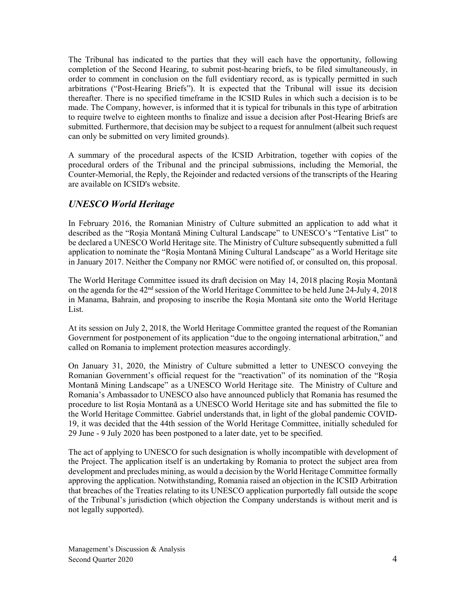The Tribunal has indicated to the parties that they will each have the opportunity, following completion of the Second Hearing, to submit post-hearing briefs, to be filed simultaneously, in order to comment in conclusion on the full evidentiary record, as is typically permitted in such arbitrations ("Post-Hearing Briefs"). It is expected that the Tribunal will issue its decision thereafter. There is no specified timeframe in the ICSID Rules in which such a decision is to be made. The Company, however, is informed that it is typical for tribunals in this type of arbitration to require twelve to eighteen months to finalize and issue a decision after Post-Hearing Briefs are submitted. Furthermore, that decision may be subject to a request for annulment (albeit such request can only be submitted on very limited grounds).

A summary of the procedural aspects of the ICSID Arbitration, together with copies of the procedural orders of the Tribunal and the principal submissions, including the Memorial, the Counter-Memorial, the Reply, the Rejoinder and redacted versions of the transcripts of the Hearing are available on ICSID's website.

## *UNESCO World Heritage*

In February 2016, the Romanian Ministry of Culture submitted an application to add what it described as the "Roşia Montană Mining Cultural Landscape" to UNESCO's "Tentative List" to be declared a UNESCO World Heritage site. The Ministry of Culture subsequently submitted a full application to nominate the "Roşia Montană Mining Cultural Landscape" as a World Heritage site in January 2017. Neither the Company nor RMGC were notified of, or consulted on, this proposal.

The World Heritage Committee issued its draft decision on May 14, 2018 placing Roşia Montană on the agenda for the 42nd session of the World Heritage Committee to be held June 24-July 4, 2018 in Manama, Bahrain, and proposing to inscribe the Roşia Montană site onto the World Heritage List.

At its session on July 2, 2018, the World Heritage Committee granted the request of the Romanian Government for postponement of its application "due to the ongoing international arbitration," and called on Romania to implement protection measures accordingly.

On January 31, 2020, the Ministry of Culture submitted a letter to UNESCO conveying the Romanian Government's official request for the "reactivation" of its nomination of the "Roşia Montană Mining Landscape" as a UNESCO World Heritage site. The Ministry of Culture and Romania's Ambassador to UNESCO also have announced publicly that Romania has resumed the procedure to list Roşia Montană as a UNESCO World Heritage site and has submitted the file to the World Heritage Committee. Gabriel understands that, in light of the global pandemic COVID-19, it was decided that the 44th session of the World Heritage Committee, initially scheduled for 29 June - 9 July 2020 has been postponed to a later date, yet to be specified.

The act of applying to UNESCO for such designation is wholly incompatible with development of the Project. The application itself is an undertaking by Romania to protect the subject area from development and precludes mining, as would a decision by the World Heritage Committee formally approving the application. Notwithstanding, Romania raised an objection in the ICSID Arbitration that breaches of the Treaties relating to its UNESCO application purportedly fall outside the scope of the Tribunal's jurisdiction (which objection the Company understands is without merit and is not legally supported).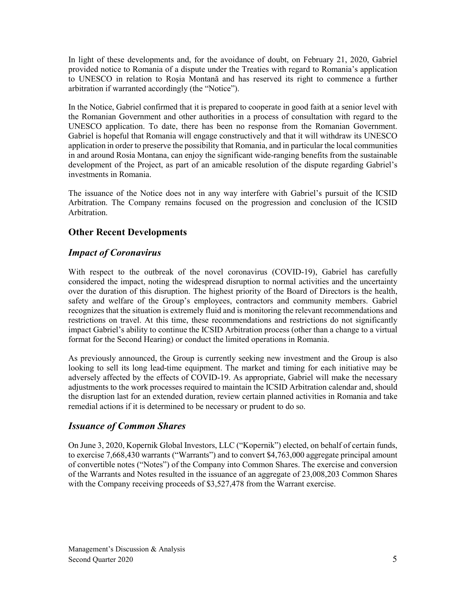In light of these developments and, for the avoidance of doubt, on February 21, 2020, Gabriel provided notice to Romania of a dispute under the Treaties with regard to Romania's application to UNESCO in relation to Roşia Montană and has reserved its right to commence a further arbitration if warranted accordingly (the "Notice").

In the Notice, Gabriel confirmed that it is prepared to cooperate in good faith at a senior level with the Romanian Government and other authorities in a process of consultation with regard to the UNESCO application. To date, there has been no response from the Romanian Government. Gabriel is hopeful that Romania will engage constructively and that it will withdraw its UNESCO application in order to preserve the possibility that Romania, and in particular the local communities in and around Rosia Montana, can enjoy the significant wide-ranging benefits from the sustainable development of the Project, as part of an amicable resolution of the dispute regarding Gabriel's investments in Romania.

The issuance of the Notice does not in any way interfere with Gabriel's pursuit of the ICSID Arbitration. The Company remains focused on the progression and conclusion of the ICSID Arbitration.

## **Other Recent Developments**

## *Impact of Coronavirus*

With respect to the outbreak of the novel coronavirus (COVID-19), Gabriel has carefully considered the impact, noting the widespread disruption to normal activities and the uncertainty over the duration of this disruption. The highest priority of the Board of Directors is the health, safety and welfare of the Group's employees, contractors and community members. Gabriel recognizes that the situation is extremely fluid and is monitoring the relevant recommendations and restrictions on travel. At this time, these recommendations and restrictions do not significantly impact Gabriel's ability to continue the ICSID Arbitration process (other than a change to a virtual format for the Second Hearing) or conduct the limited operations in Romania.

As previously announced, the Group is currently seeking new investment and the Group is also looking to sell its long lead-time equipment. The market and timing for each initiative may be adversely affected by the effects of COVID-19. As appropriate, Gabriel will make the necessary adjustments to the work processes required to maintain the ICSID Arbitration calendar and, should the disruption last for an extended duration, review certain planned activities in Romania and take remedial actions if it is determined to be necessary or prudent to do so.

## *Issuance of Common Shares*

On June 3, 2020, Kopernik Global Investors, LLC ("Kopernik") elected, on behalf of certain funds, to exercise 7,668,430 warrants ("Warrants") and to convert \$4,763,000 aggregate principal amount of convertible notes ("Notes") of the Company into Common Shares. The exercise and conversion of the Warrants and Notes resulted in the issuance of an aggregate of 23,008,203 Common Shares with the Company receiving proceeds of \$3,527,478 from the Warrant exercise.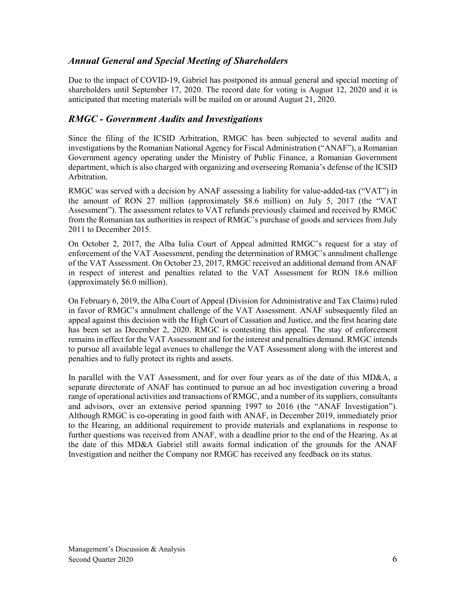## *Annual General and Special Meeting of Shareholders*

Due to the impact of COVID-19, Gabriel has postponed its annual general and special meeting of shareholders until September 17, 2020. The record date for voting is August 12, 2020 and it is anticipated that meeting materials will be mailed on or around August 21, 2020.

## *RMGC - Government Audits and Investigations*

Since the filing of the ICSID Arbitration, RMGC has been subjected to several audits and investigations by the Romanian National Agency for Fiscal Administration ("ANAF"), a Romanian Government agency operating under the Ministry of Public Finance, a Romanian Government department, which is also charged with organizing and overseeing Romania's defense of the ICSID Arbitration.

RMGC was served with a decision by ANAF assessing a liability for value-added-tax ("VAT") in the amount of RON 27 million (approximately \$8.6 million) on July 5, 2017 (the "VAT Assessment"). The assessment relates to VAT refunds previously claimed and received by RMGC from the Romanian tax authorities in respect of RMGC's purchase of goods and services from July 2011 to December 2015.

On October 2, 2017, the Alba Iulia Court of Appeal admitted RMGC's request for a stay of enforcement of the VAT Assessment, pending the determination of RMGC's annulment challenge of the VAT Assessment. On October 23, 2017, RMGC received an additional demand from ANAF in respect of interest and penalties related to the VAT Assessment for RON 18.6 million (approximately \$6.0 million).

On February 6, 2019, the Alba Court of Appeal (Division for Administrative and Tax Claims) ruled in favor of RMGC's annulment challenge of the VAT Assessment. ANAF subsequently filed an appeal against this decision with the High Court of Cassation and Justice, and the first hearing date has been set as December 2, 2020. RMGC is contesting this appeal. The stay of enforcement remains in effect for the VAT Assessment and for the interest and penalties demand. RMGC intends to pursue all available legal avenues to challenge the VAT Assessment along with the interest and penalties and to fully protect its rights and assets.

In parallel with the VAT Assessment, and for over four years as of the date of this MD&A, a separate directorate of ANAF has continued to pursue an ad hoc investigation covering a broad range of operational activities and transactions of RMGC, and a number of its suppliers, consultants and advisors, over an extensive period spanning 1997 to 2016 (the "ANAF Investigation"). Although RMGC is co-operating in good faith with ANAF, in December 2019, immediately prior to the Hearing, an additional requirement to provide materials and explanations in response to further questions was received from ANAF, with a deadline prior to the end of the Hearing. As at the date of this MD&A Gabriel still awaits formal indication of the grounds for the ANAF Investigation and neither the Company nor RMGC has received any feedback on its status.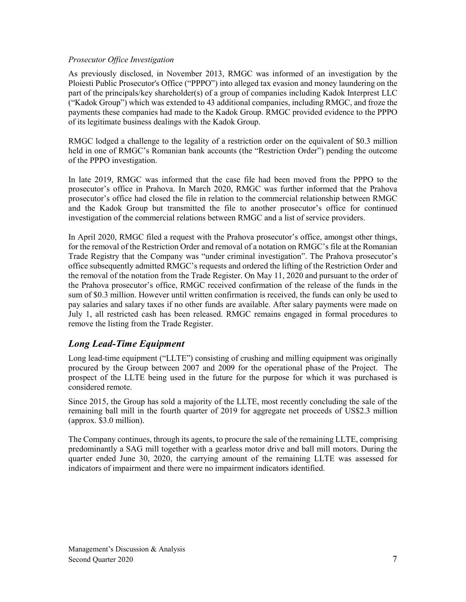#### *Prosecutor Office Investigation*

As previously disclosed, in November 2013, RMGC was informed of an investigation by the Ploiesti Public Prosecutor's Office ("PPPO") into alleged tax evasion and money laundering on the part of the principals/key shareholder(s) of a group of companies including Kadok Interprest LLC ("Kadok Group") which was extended to 43 additional companies, including RMGC, and froze the payments these companies had made to the Kadok Group. RMGC provided evidence to the PPPO of its legitimate business dealings with the Kadok Group.

RMGC lodged a challenge to the legality of a restriction order on the equivalent of \$0.3 million held in one of RMGC's Romanian bank accounts (the "Restriction Order") pending the outcome of the PPPO investigation.

In late 2019, RMGC was informed that the case file had been moved from the PPPO to the prosecutor's office in Prahova. In March 2020, RMGC was further informed that the Prahova prosecutor's office had closed the file in relation to the commercial relationship between RMGC and the Kadok Group but transmitted the file to another prosecutor's office for continued investigation of the commercial relations between RMGC and a list of service providers.

In April 2020, RMGC filed a request with the Prahova prosecutor's office, amongst other things, for the removal of the Restriction Order and removal of a notation on RMGC's file at the Romanian Trade Registry that the Company was "under criminal investigation". The Prahova prosecutor's office subsequently admitted RMGC's requests and ordered the lifting of the Restriction Order and the removal of the notation from the Trade Register. On May 11, 2020 and pursuant to the order of the Prahova prosecutor's office, RMGC received confirmation of the release of the funds in the sum of \$0.3 million. However until written confirmation is received, the funds can only be used to pay salaries and salary taxes if no other funds are available. After salary payments were made on July 1, all restricted cash has been released. RMGC remains engaged in formal procedures to remove the listing from the Trade Register.

## *Long Lead-Time Equipment*

Long lead-time equipment ("LLTE") consisting of crushing and milling equipment was originally procured by the Group between 2007 and 2009 for the operational phase of the Project. The prospect of the LLTE being used in the future for the purpose for which it was purchased is considered remote.

Since 2015, the Group has sold a majority of the LLTE, most recently concluding the sale of the remaining ball mill in the fourth quarter of 2019 for aggregate net proceeds of US\$2.3 million (approx. \$3.0 million).

The Company continues, through its agents, to procure the sale of the remaining LLTE, comprising predominantly a SAG mill together with a gearless motor drive and ball mill motors. During the quarter ended June 30, 2020, the carrying amount of the remaining LLTE was assessed for indicators of impairment and there were no impairment indicators identified.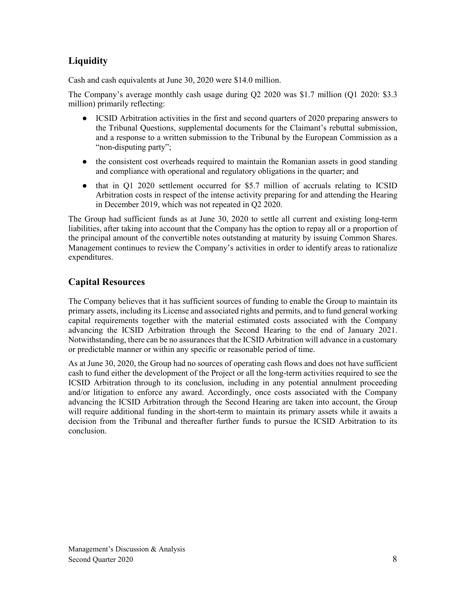## **Liquidity**

Cash and cash equivalents at June 30, 2020 were \$14.0 million.

The Company's average monthly cash usage during Q2 2020 was \$1.7 million (Q1 2020: \$3.3 million) primarily reflecting:

- ICSID Arbitration activities in the first and second quarters of 2020 preparing answers to the Tribunal Questions, supplemental documents for the Claimant's rebuttal submission, and a response to a written submission to the Tribunal by the European Commission as a "non-disputing party";
- the consistent cost overheads required to maintain the Romanian assets in good standing and compliance with operational and regulatory obligations in the quarter; and
- that in Q1 2020 settlement occurred for \$5.7 million of accruals relating to ICSID Arbitration costs in respect of the intense activity preparing for and attending the Hearing in December 2019, which was not repeated in Q2 2020.

The Group had sufficient funds as at June 30, 2020 to settle all current and existing long-term liabilities, after taking into account that the Company has the option to repay all or a proportion of the principal amount of the convertible notes outstanding at maturity by issuing Common Shares. Management continues to review the Company's activities in order to identify areas to rationalize expenditures.

## **Capital Resources**

The Company believes that it has sufficient sources of funding to enable the Group to maintain its primary assets, including its License and associated rights and permits, and to fund general working capital requirements together with the material estimated costs associated with the Company advancing the ICSID Arbitration through the Second Hearing to the end of January 2021. Notwithstanding, there can be no assurances that the ICSID Arbitration will advance in a customary or predictable manner or within any specific or reasonable period of time.

As at June 30, 2020, the Group had no sources of operating cash flows and does not have sufficient cash to fund either the development of the Project or all the long-term activities required to see the ICSID Arbitration through to its conclusion, including in any potential annulment proceeding and/or litigation to enforce any award. Accordingly, once costs associated with the Company advancing the ICSID Arbitration through the Second Hearing are taken into account, the Group will require additional funding in the short-term to maintain its primary assets while it awaits a decision from the Tribunal and thereafter further funds to pursue the ICSID Arbitration to its conclusion.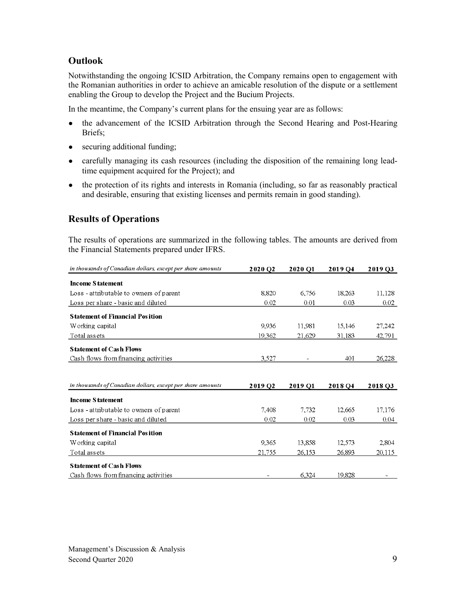## **Outlook**

Notwithstanding the ongoing ICSID Arbitration, the Company remains open to engagement with the Romanian authorities in order to achieve an amicable resolution of the dispute or a settlement enabling the Group to develop the Project and the Bucium Projects.

In the meantime, the Company's current plans for the ensuing year are as follows:

- the advancement of the ICSID Arbitration through the Second Hearing and Post-Hearing Briefs;
- securing additional funding;
- carefully managing its cash resources (including the disposition of the remaining long leadtime equipment acquired for the Project); and
- the protection of its rights and interests in Romania (including, so far as reasonably practical and desirable, ensuring that existing licenses and permits remain in good standing).

## **Results of Operations**

The results of operations are summarized in the following tables. The amounts are derived from the Financial Statements prepared under IFRS.

| in thousands of Canadian dollars, except per share amounts | 2020 O <sub>2</sub> | 2020 O1 | 2019 O <sub>4</sub> | 2019 03 |
|------------------------------------------------------------|---------------------|---------|---------------------|---------|
| <b>Income Statement</b>                                    |                     |         |                     |         |
| Loss - attributable to owners of parent                    | 8,820               | 6,756   | 18.263              | 11,128  |
| Loss per share - basic and diluted                         | 0.02                | 0.01    | 0.03                | 0.02    |
| <b>Statement of Financial Position</b>                     |                     |         |                     |         |
| Working capital                                            | 9,936               | 11,981  | 15,146              | 27,242  |
| Total assets                                               | 19,362              | 21,629  | 31.183              | 42,791  |
| <b>Statement of Cash Flows</b>                             |                     |         |                     |         |
| Cash flows from financing activities                       | 3,527               |         | 401                 | 26,228  |
|                                                            |                     |         |                     |         |
| in thousands of Canadian dollars, except per share amounts | 2019 Q <sub>2</sub> | 2019 Q1 | 2018 Q4             | 2018 Q3 |
| <b>Income Statement</b>                                    |                     |         |                     |         |
| Loss - attributable to owners of parent                    | 7.408               | 7,732   | 12.665              |         |
|                                                            |                     |         |                     | 17,176  |
| Loss per share - basic and diluted                         | 0.02                | 0.02    | 0.03                | 0.04    |
| <b>Statement of Financial Position</b>                     |                     |         |                     |         |
| Working capital                                            | 9,365               | 13,858  | 12.573              | 2,804   |
| Total assets                                               | 21,755              | 26,153  | 26.893              | 20,115  |
| <b>Statement of Cash Flows</b>                             |                     |         |                     |         |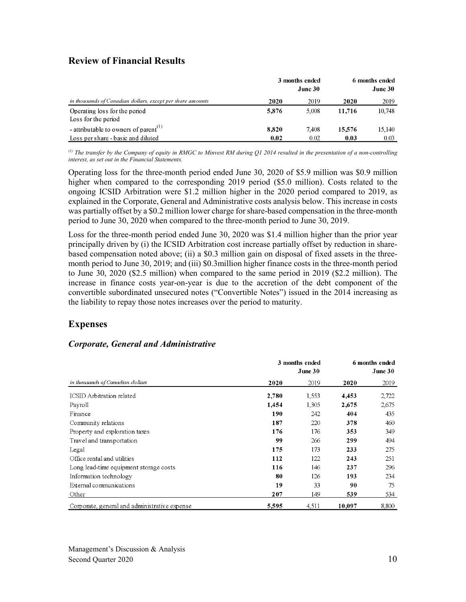## **Review of Financial Results**

|                                                            | 3 months ended<br>June 30 |       | 6 months ended<br>June 30 |        |  |
|------------------------------------------------------------|---------------------------|-------|---------------------------|--------|--|
| in thousands of Canadian dollars, except per share amounts | 2020                      | 2019  | 2020                      | 2019   |  |
| Operating loss for the period                              | 5.876                     | 5.008 | 11.716                    | 10,748 |  |
| Loss for the period                                        |                           |       |                           |        |  |
| - attributable to owners of parent <sup>(1)</sup>          | 8.820                     | 7.408 | 15.576                    | 15,140 |  |
| Loss per share - basic and diluted                         | 0.02                      | 0.02  | 0.03                      | 0.03   |  |

*(1) The transfer by the Company of equity in RMGC to Minvest RM during Q1 2014 resulted in the presentation of a non-controlling interest, as set out in the Financial Statements.*

Operating loss for the three-month period ended June 30, 2020 of \$5.9 million was \$0.9 million higher when compared to the corresponding 2019 period (\$5.0 million). Costs related to the ongoing ICSID Arbitration were \$1.2 million higher in the 2020 period compared to 2019, as explained in the Corporate, General and Administrative costs analysis below. This increase in costs was partially offset by a \$0.2 million lower charge for share-based compensation in the three-month period to June 30, 2020 when compared to the three-month period to June 30, 2019.

Loss for the three-month period ended June 30, 2020 was \$1.4 million higher than the prior year principally driven by (i) the ICSID Arbitration cost increase partially offset by reduction in sharebased compensation noted above; (ii) a \$0.3 million gain on disposal of fixed assets in the threemonth period to June 30, 2019; and (iii) \$0.3million higher finance costs in the three-month period to June 30, 2020 (\$2.5 million) when compared to the same period in 2019 (\$2.2 million). The increase in finance costs year-on-year is due to the accretion of the debt component of the convertible subordinated unsecured notes ("Convertible Notes") issued in the 2014 increasing as the liability to repay those notes increases over the period to maturity.

## **Expenses**

## *Corporate, General and Administrative*

|                                               | 3 months ended | 6 months ended<br>June $301$ |        |       |
|-----------------------------------------------|----------------|------------------------------|--------|-------|
| in thousands of Canadian dollars              | 2020           | 2019                         | 2020   | 2019  |
| <b>ICSID</b> Arbitration related              | 2,780          | 1,553                        | 4,453  | 2,722 |
| Payroll                                       | 1,454          | 1,305                        | 2,675  | 2,675 |
| Finance                                       | 190            | 242                          | 404    | 435   |
| Community relations                           | 187            | 220                          | 378    | 460   |
| Property and exploration taxes                | 176            | 176                          | 353    | 349   |
| Travel and transportation                     | 99             | 266                          | 299    | 494   |
| Legal                                         | 175            | 173                          | 233    | 275   |
| Office rental and utilities                   | 112            | 122                          | 243    | 251   |
| Long lead-time equipment storage costs        | 116            | 146                          | 237    | 296   |
| Information technology                        | 80             | 126                          | 193    | 234   |
| External communications                       | 19             | 33                           | 90     | 75    |
| Other                                         | 207            | 149                          | 539    | 534   |
| Corporate, general and administrative expense | 5,595          | 4.511                        | 10,097 | 8,800 |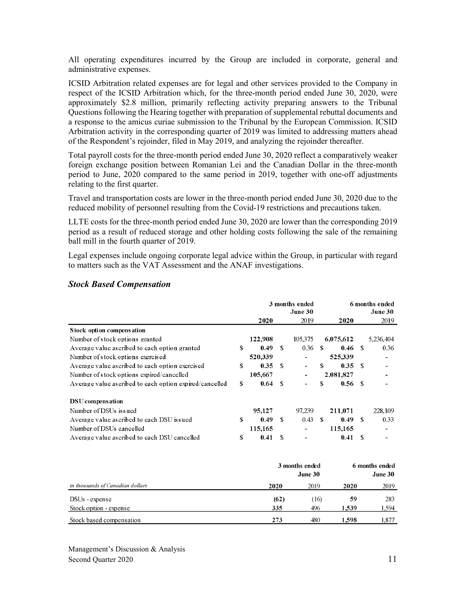All operating expenditures incurred by the Group are included in corporate, general and administrative expenses.

ICSID Arbitration related expenses are for legal and other services provided to the Company in respect of the ICSID Arbitration which, for the three-month period ended June 30, 2020, were approximately \$2.8 million, primarily reflecting activity preparing answers to the Tribunal Questions following the Hearing together with preparation of supplemental rebuttal documents and a response to the amicus curiae submission to the Tribunal by the European Commission. ICSID Arbitration activity in the corresponding quarter of 2019 was limited to addressing matters ahead of the Respondent's rejoinder, filed in May 2019, and analyzing the rejoinder thereafter.

Total payroll costs for the three-month period ended June 30, 2020 reflect a comparatively weaker foreign exchange position between Romanian Lei and the Canadian Dollar in the three-month period to June, 2020 compared to the same period in 2019, together with one-off adjustments relating to the first quarter.

Travel and transportation costs are lower in the three-month period ended June 30, 2020 due to the reduced mobility of personnel resulting from the Covid-19 restrictions and precautions taken.

LLTE costs for the three-month period ended June 30, 2020 are lower than the corresponding 2019 period as a result of reduced storage and other holding costs following the sale of the remaining ball mill in the fourth quarter of 2019.

Legal expenses include ongoing corporate legal advice within the Group, in particular with regard to matters such as the VAT Assessment and the ANAF investigations.

|                                                          |    | 3 months ended<br>June 30 |    |                           |      | 6 months ended |      | June 30                   |
|----------------------------------------------------------|----|---------------------------|----|---------------------------|------|----------------|------|---------------------------|
|                                                          |    | 2020                      |    | 2019                      |      | 2020           |      | 2019                      |
| Stock option compensation                                |    |                           |    |                           |      |                |      |                           |
| Number of stock options granted                          |    | 122,908                   |    | 105,375                   |      | 6,075,612      |      | 5,236,404                 |
| Average value as cribed to each option granted           | S  | 0.49                      | S. | 0.36                      | - \$ | 0.46           | - \$ | 0.36                      |
| Number of stock options exercised                        |    | 520,339                   |    |                           |      | 525,339        |      |                           |
| Average value as cribed to each option exercised         | \$ | 0.35                      | -8 |                           | \$.  | 0.35           | - \$ |                           |
| Number of stock options expired/cancelled                |    | 105,667                   |    |                           |      | 2,081,827      |      |                           |
| Average value as cribed to each option expired/cancelled | S  | 0.64                      | -S |                           | \$   | 0.56           | - \$ |                           |
| DSU compensation                                         |    |                           |    |                           |      |                |      |                           |
| Number of DSUs issued                                    |    | 95,127                    |    | 97.239                    |      | 211,071        |      | 228,109                   |
| Average value as cribed to each DSU is sued              | \$ | 0.49                      | -S | 0.43                      | -8   | 0.49           | - \$ | 0.33                      |
| Number of DSUs cancelled                                 |    | 115,165                   |    |                           |      | 115,165        |      |                           |
| Average value as cribed to each DSU cancelled            | \$ | 0.41                      | £. |                           |      | 0.41           | \$.  |                           |
|                                                          |    |                           |    | 3 months ended<br>June 30 |      |                |      | 6 months ended<br>June 30 |

#### *Stock Based Compensation*

|      | June 30 | 6 months ended<br>June 30 |              |  |
|------|---------|---------------------------|--------------|--|
| 2020 | 2019    | 2020                      | 2019         |  |
| (62) | (16)    | 59                        | 283<br>1.594 |  |
| 273  | 480     | 1.598                     | 1.877        |  |
|      | 335     | 3 months ended<br>496     | 1.539        |  |

Management's Discussion & Analysis Second Quarter 2020 11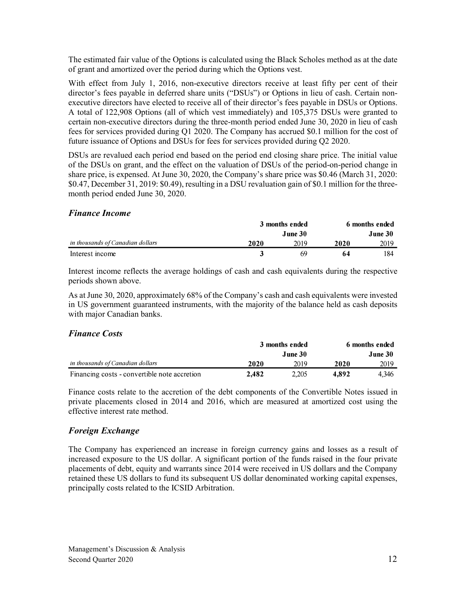The estimated fair value of the Options is calculated using the Black Scholes method as at the date of grant and amortized over the period during which the Options vest.

With effect from July 1, 2016, non-executive directors receive at least fifty per cent of their director's fees payable in deferred share units ("DSUs") or Options in lieu of cash. Certain nonexecutive directors have elected to receive all of their director's fees payable in DSUs or Options. A total of 122,908 Options (all of which vest immediately) and 105,375 DSUs were granted to certain non-executive directors during the three-month period ended June 30, 2020 in lieu of cash fees for services provided during Q1 2020. The Company has accrued \$0.1 million for the cost of future issuance of Options and DSUs for fees for services provided during Q2 2020.

DSUs are revalued each period end based on the period end closing share price. The initial value of the DSUs on grant, and the effect on the valuation of DSUs of the period-on-period change in share price, is expensed. At June 30, 2020, the Company's share price was \$0.46 (March 31, 2020: \$0.47, December 31, 2019: \$0.49), resulting in a DSU revaluation gain of \$0.1 million for the threemonth period ended June 30, 2020.

#### *Finance Income*

|                                  | 3 months ended |         |      | 6 months ended |  |  |
|----------------------------------|----------------|---------|------|----------------|--|--|
|                                  |                | June 30 |      | June 30        |  |  |
| in thousands of Canadian dollars | 2020           | 2019    | 2020 | 2019           |  |  |
| Interest income                  |                | 69      | 64   | 184            |  |  |

Interest income reflects the average holdings of cash and cash equivalents during the respective periods shown above.

As at June 30, 2020, approximately 68% of the Company's cash and cash equivalents were invested in US government guaranteed instruments, with the majority of the balance held as cash deposits with major Canadian banks.

#### *Finance Costs*

|                                              | 3 months ended |         | 6 months ended |          |  |
|----------------------------------------------|----------------|---------|----------------|----------|--|
|                                              |                | June 30 |                | June 30. |  |
| in thousands of Canadian dollars             | 2020           | 2019    | 2020           | 2019     |  |
| Financing costs - convertible note accretion | 2.482          | 2.205   | 4.892          | 4.346    |  |

Finance costs relate to the accretion of the debt components of the Convertible Notes issued in private placements closed in 2014 and 2016, which are measured at amortized cost using the effective interest rate method.

#### *Foreign Exchange*

The Company has experienced an increase in foreign currency gains and losses as a result of increased exposure to the US dollar. A significant portion of the funds raised in the four private placements of debt, equity and warrants since 2014 were received in US dollars and the Company retained these US dollars to fund its subsequent US dollar denominated working capital expenses, principally costs related to the ICSID Arbitration.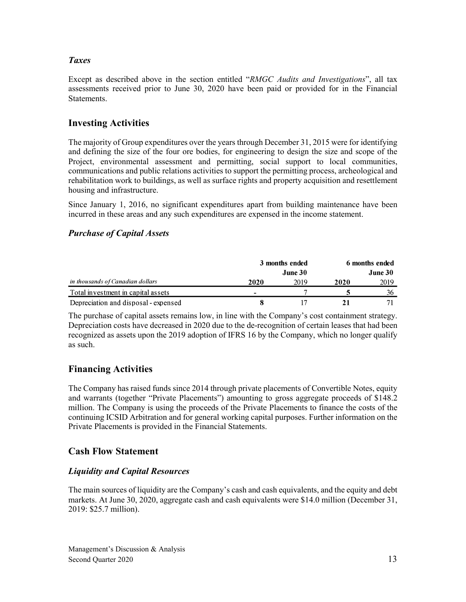## *Taxes*

Except as described above in the section entitled "*RMGC Audits and Investigations*", all tax assessments received prior to June 30, 2020 have been paid or provided for in the Financial Statements.

## **Investing Activities**

The majority of Group expenditures over the years through December 31, 2015 were for identifying and defining the size of the four ore bodies, for engineering to design the size and scope of the Project, environmental assessment and permitting, social support to local communities, communications and public relations activities to support the permitting process, archeological and rehabilitation work to buildings, as well as surface rights and property acquisition and resettlement housing and infrastructure.

Since January 1, 2016, no significant expenditures apart from building maintenance have been incurred in these areas and any such expenditures are expensed in the income statement.

#### *Purchase of Capital Assets*

|                                      | 3 months ended |         | 6 months ended |         |  |
|--------------------------------------|----------------|---------|----------------|---------|--|
|                                      |                | June 30 |                | June 30 |  |
| in thousands of Canadian dollars     | 2020           | 2019    | 2020           | 2019    |  |
| Total investment in capital assets   | $\blacksquare$ |         |                | 36      |  |
| Depreciation and disposal - expensed |                |         |                |         |  |

The purchase of capital assets remains low, in line with the Company's cost containment strategy. Depreciation costs have decreased in 2020 due to the de-recognition of certain leases that had been recognized as assets upon the 2019 adoption of IFRS 16 by the Company, which no longer qualify as such.

## **Financing Activities**

The Company has raised funds since 2014 through private placements of Convertible Notes, equity and warrants (together "Private Placements") amounting to gross aggregate proceeds of \$148.2 million. The Company is using the proceeds of the Private Placements to finance the costs of the continuing ICSID Arbitration and for general working capital purposes. Further information on the Private Placements is provided in the Financial Statements.

## **Cash Flow Statement**

#### *Liquidity and Capital Resources*

The main sources of liquidity are the Company's cash and cash equivalents, and the equity and debt markets. At June 30, 2020, aggregate cash and cash equivalents were \$14.0 million (December 31, 2019: \$25.7 million).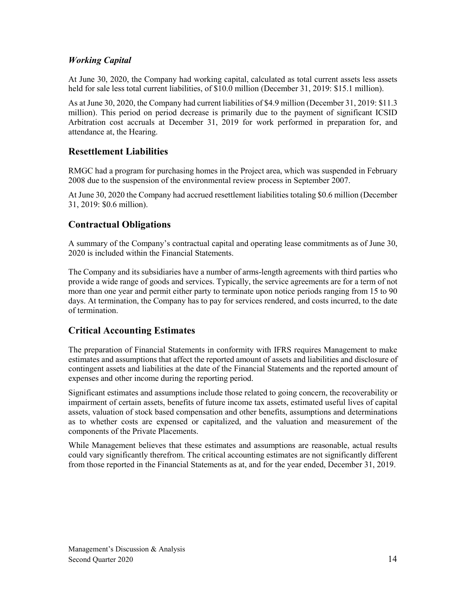## *Working Capital*

At June 30, 2020, the Company had working capital, calculated as total current assets less assets held for sale less total current liabilities, of \$10.0 million (December 31, 2019: \$15.1 million).

As at June 30, 2020, the Company had current liabilities of \$4.9 million (December 31, 2019: \$11.3 million). This period on period decrease is primarily due to the payment of significant ICSID Arbitration cost accruals at December 31, 2019 for work performed in preparation for, and attendance at, the Hearing.

## **Resettlement Liabilities**

RMGC had a program for purchasing homes in the Project area, which was suspended in February 2008 due to the suspension of the environmental review process in September 2007.

At June 30, 2020 the Company had accrued resettlement liabilities totaling \$0.6 million (December 31, 2019: \$0.6 million).

## **Contractual Obligations**

A summary of the Company's contractual capital and operating lease commitments as of June 30, 2020 is included within the Financial Statements.

The Company and its subsidiaries have a number of arms-length agreements with third parties who provide a wide range of goods and services. Typically, the service agreements are for a term of not more than one year and permit either party to terminate upon notice periods ranging from 15 to 90 days. At termination, the Company has to pay for services rendered, and costs incurred, to the date of termination.

## **Critical Accounting Estimates**

The preparation of Financial Statements in conformity with IFRS requires Management to make estimates and assumptions that affect the reported amount of assets and liabilities and disclosure of contingent assets and liabilities at the date of the Financial Statements and the reported amount of expenses and other income during the reporting period.

Significant estimates and assumptions include those related to going concern, the recoverability or impairment of certain assets, benefits of future income tax assets, estimated useful lives of capital assets, valuation of stock based compensation and other benefits, assumptions and determinations as to whether costs are expensed or capitalized, and the valuation and measurement of the components of the Private Placements.

While Management believes that these estimates and assumptions are reasonable, actual results could vary significantly therefrom. The critical accounting estimates are not significantly different from those reported in the Financial Statements as at, and for the year ended, December 31, 2019.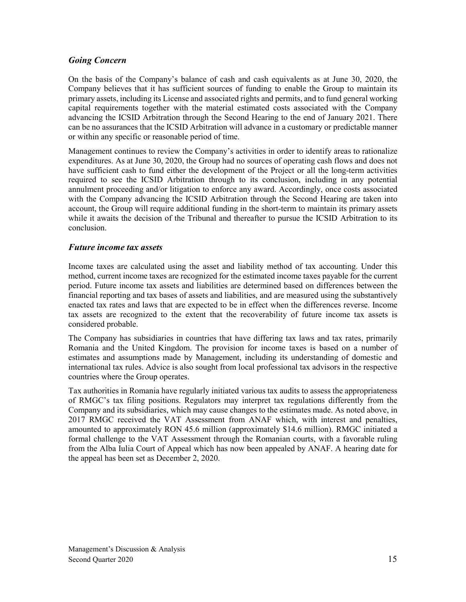### *Going Concern*

On the basis of the Company's balance of cash and cash equivalents as at June 30, 2020, the Company believes that it has sufficient sources of funding to enable the Group to maintain its primary assets, including its License and associated rights and permits, and to fund general working capital requirements together with the material estimated costs associated with the Company advancing the ICSID Arbitration through the Second Hearing to the end of January 2021. There can be no assurances that the ICSID Arbitration will advance in a customary or predictable manner or within any specific or reasonable period of time.

Management continues to review the Company's activities in order to identify areas to rationalize expenditures. As at June 30, 2020, the Group had no sources of operating cash flows and does not have sufficient cash to fund either the development of the Project or all the long-term activities required to see the ICSID Arbitration through to its conclusion, including in any potential annulment proceeding and/or litigation to enforce any award. Accordingly, once costs associated with the Company advancing the ICSID Arbitration through the Second Hearing are taken into account, the Group will require additional funding in the short-term to maintain its primary assets while it awaits the decision of the Tribunal and thereafter to pursue the ICSID Arbitration to its conclusion.

#### *Future income tax assets*

Income taxes are calculated using the asset and liability method of tax accounting. Under this method, current income taxes are recognized for the estimated income taxes payable for the current period. Future income tax assets and liabilities are determined based on differences between the financial reporting and tax bases of assets and liabilities, and are measured using the substantively enacted tax rates and laws that are expected to be in effect when the differences reverse. Income tax assets are recognized to the extent that the recoverability of future income tax assets is considered probable.

The Company has subsidiaries in countries that have differing tax laws and tax rates, primarily Romania and the United Kingdom. The provision for income taxes is based on a number of estimates and assumptions made by Management, including its understanding of domestic and international tax rules. Advice is also sought from local professional tax advisors in the respective countries where the Group operates.

Tax authorities in Romania have regularly initiated various tax audits to assess the appropriateness of RMGC's tax filing positions. Regulators may interpret tax regulations differently from the Company and its subsidiaries, which may cause changes to the estimates made. As noted above, in 2017 RMGC received the VAT Assessment from ANAF which, with interest and penalties, amounted to approximately RON 45.6 million (approximately \$14.6 million). RMGC initiated a formal challenge to the VAT Assessment through the Romanian courts, with a favorable ruling from the Alba Iulia Court of Appeal which has now been appealed by ANAF. A hearing date for the appeal has been set as December 2, 2020.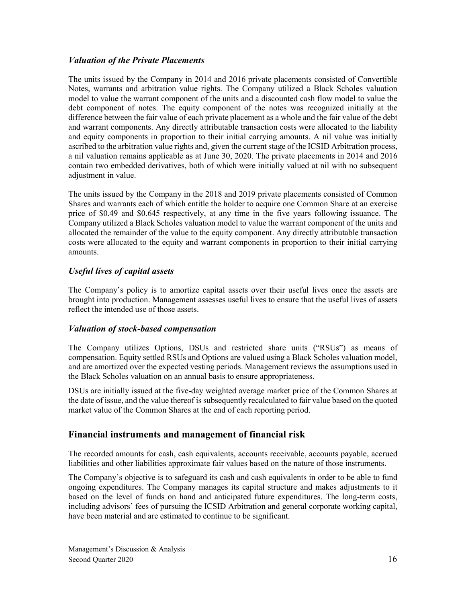#### *Valuation of the Private Placements*

The units issued by the Company in 2014 and 2016 private placements consisted of Convertible Notes, warrants and arbitration value rights. The Company utilized a Black Scholes valuation model to value the warrant component of the units and a discounted cash flow model to value the debt component of notes. The equity component of the notes was recognized initially at the difference between the fair value of each private placement as a whole and the fair value of the debt and warrant components. Any directly attributable transaction costs were allocated to the liability and equity components in proportion to their initial carrying amounts. A nil value was initially ascribed to the arbitration value rights and, given the current stage of the ICSID Arbitration process, a nil valuation remains applicable as at June 30, 2020. The private placements in 2014 and 2016 contain two embedded derivatives, both of which were initially valued at nil with no subsequent adjustment in value.

The units issued by the Company in the 2018 and 2019 private placements consisted of Common Shares and warrants each of which entitle the holder to acquire one Common Share at an exercise price of \$0.49 and \$0.645 respectively, at any time in the five years following issuance. The Company utilized a Black Scholes valuation model to value the warrant component of the units and allocated the remainder of the value to the equity component. Any directly attributable transaction costs were allocated to the equity and warrant components in proportion to their initial carrying amounts.

## *Useful lives of capital assets*

The Company's policy is to amortize capital assets over their useful lives once the assets are brought into production. Management assesses useful lives to ensure that the useful lives of assets reflect the intended use of those assets.

#### *Valuation of stock-based compensation*

The Company utilizes Options, DSUs and restricted share units ("RSUs") as means of compensation. Equity settled RSUs and Options are valued using a Black Scholes valuation model, and are amortized over the expected vesting periods. Management reviews the assumptions used in the Black Scholes valuation on an annual basis to ensure appropriateness.

DSUs are initially issued at the five-day weighted average market price of the Common Shares at the date of issue, and the value thereof is subsequently recalculated to fair value based on the quoted market value of the Common Shares at the end of each reporting period.

## **Financial instruments and management of financial risk**

The recorded amounts for cash, cash equivalents, accounts receivable, accounts payable, accrued liabilities and other liabilities approximate fair values based on the nature of those instruments.

The Company's objective is to safeguard its cash and cash equivalents in order to be able to fund ongoing expenditures. The Company manages its capital structure and makes adjustments to it based on the level of funds on hand and anticipated future expenditures. The long-term costs, including advisors' fees of pursuing the ICSID Arbitration and general corporate working capital, have been material and are estimated to continue to be significant.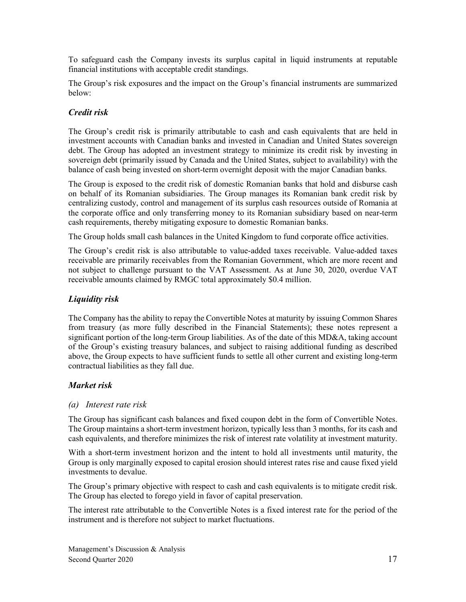To safeguard cash the Company invests its surplus capital in liquid instruments at reputable financial institutions with acceptable credit standings.

The Group's risk exposures and the impact on the Group's financial instruments are summarized below:

#### *Credit risk*

The Group's credit risk is primarily attributable to cash and cash equivalents that are held in investment accounts with Canadian banks and invested in Canadian and United States sovereign debt. The Group has adopted an investment strategy to minimize its credit risk by investing in sovereign debt (primarily issued by Canada and the United States, subject to availability) with the balance of cash being invested on short-term overnight deposit with the major Canadian banks.

The Group is exposed to the credit risk of domestic Romanian banks that hold and disburse cash on behalf of its Romanian subsidiaries. The Group manages its Romanian bank credit risk by centralizing custody, control and management of its surplus cash resources outside of Romania at the corporate office and only transferring money to its Romanian subsidiary based on near-term cash requirements, thereby mitigating exposure to domestic Romanian banks.

The Group holds small cash balances in the United Kingdom to fund corporate office activities.

The Group's credit risk is also attributable to value-added taxes receivable. Value-added taxes receivable are primarily receivables from the Romanian Government, which are more recent and not subject to challenge pursuant to the VAT Assessment. As at June 30, 2020, overdue VAT receivable amounts claimed by RMGC total approximately \$0.4 million.

## *Liquidity risk*

The Company has the ability to repay the Convertible Notes at maturity by issuing Common Shares from treasury (as more fully described in the Financial Statements); these notes represent a significant portion of the long-term Group liabilities. As of the date of this MD&A, taking account of the Group's existing treasury balances, and subject to raising additional funding as described above, the Group expects to have sufficient funds to settle all other current and existing long-term contractual liabilities as they fall due.

#### *Market risk*

#### *(a) Interest rate risk*

The Group has significant cash balances and fixed coupon debt in the form of Convertible Notes. The Group maintains a short-term investment horizon, typically less than 3 months, for its cash and cash equivalents, and therefore minimizes the risk of interest rate volatility at investment maturity.

With a short-term investment horizon and the intent to hold all investments until maturity, the Group is only marginally exposed to capital erosion should interest rates rise and cause fixed yield investments to devalue.

The Group's primary objective with respect to cash and cash equivalents is to mitigate credit risk. The Group has elected to forego yield in favor of capital preservation.

The interest rate attributable to the Convertible Notes is a fixed interest rate for the period of the instrument and is therefore not subject to market fluctuations.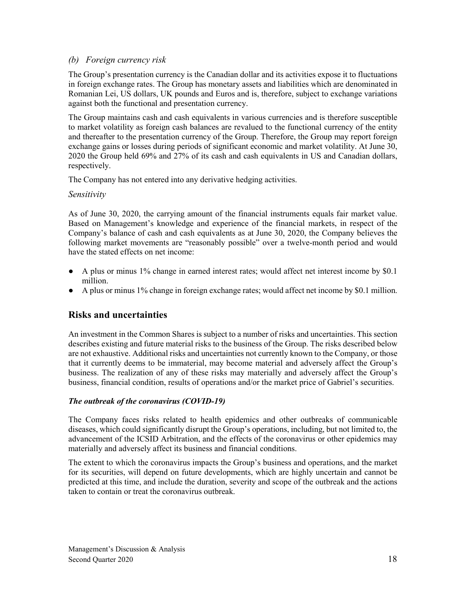#### *(b) Foreign currency risk*

The Group's presentation currency is the Canadian dollar and its activities expose it to fluctuations in foreign exchange rates. The Group has monetary assets and liabilities which are denominated in Romanian Lei, US dollars, UK pounds and Euros and is, therefore, subject to exchange variations against both the functional and presentation currency.

The Group maintains cash and cash equivalents in various currencies and is therefore susceptible to market volatility as foreign cash balances are revalued to the functional currency of the entity and thereafter to the presentation currency of the Group. Therefore, the Group may report foreign exchange gains or losses during periods of significant economic and market volatility. At June 30, 2020 the Group held 69% and 27% of its cash and cash equivalents in US and Canadian dollars, respectively.

The Company has not entered into any derivative hedging activities.

#### *Sensitivity*

As of June 30, 2020, the carrying amount of the financial instruments equals fair market value. Based on Management's knowledge and experience of the financial markets, in respect of the Company's balance of cash and cash equivalents as at June 30, 2020, the Company believes the following market movements are "reasonably possible" over a twelve-month period and would have the stated effects on net income:

- A plus or minus 1% change in earned interest rates; would affect net interest income by \$0.1 million.
- A plus or minus 1% change in foreign exchange rates; would affect net income by \$0.1 million.

## **Risks and uncertainties**

An investment in the Common Shares is subject to a number of risks and uncertainties. This section describes existing and future material risks to the business of the Group. The risks described below are not exhaustive. Additional risks and uncertainties not currently known to the Company, or those that it currently deems to be immaterial, may become material and adversely affect the Group's business. The realization of any of these risks may materially and adversely affect the Group's business, financial condition, results of operations and/or the market price of Gabriel's securities.

#### *The outbreak of the coronavirus (COVID‐19)*

The Company faces risks related to health epidemics and other outbreaks of communicable diseases, which could significantly disrupt the Group's operations, including, but not limited to, the advancement of the ICSID Arbitration, and the effects of the coronavirus or other epidemics may materially and adversely affect its business and financial conditions.

The extent to which the coronavirus impacts the Group's business and operations, and the market for its securities, will depend on future developments, which are highly uncertain and cannot be predicted at this time, and include the duration, severity and scope of the outbreak and the actions taken to contain or treat the coronavirus outbreak.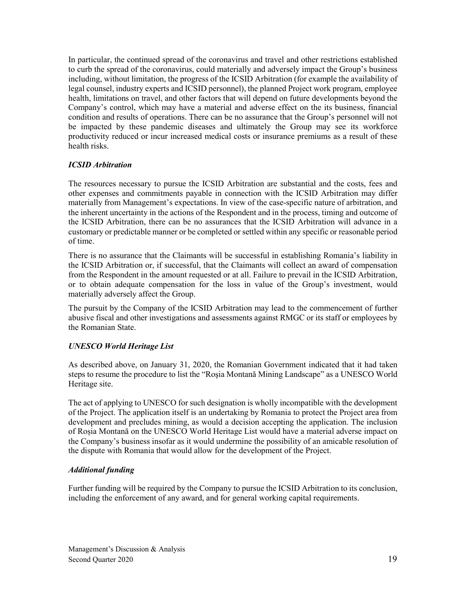In particular, the continued spread of the coronavirus and travel and other restrictions established to curb the spread of the coronavirus, could materially and adversely impact the Group's business including, without limitation, the progress of the ICSID Arbitration (for example the availability of legal counsel, industry experts and ICSID personnel), the planned Project work program, employee health, limitations on travel, and other factors that will depend on future developments beyond the Company's control, which may have a material and adverse effect on the its business, financial condition and results of operations. There can be no assurance that the Group's personnel will not be impacted by these pandemic diseases and ultimately the Group may see its workforce productivity reduced or incur increased medical costs or insurance premiums as a result of these health risks.

#### *ICSID Arbitration*

The resources necessary to pursue the ICSID Arbitration are substantial and the costs, fees and other expenses and commitments payable in connection with the ICSID Arbitration may differ materially from Management's expectations. In view of the case-specific nature of arbitration, and the inherent uncertainty in the actions of the Respondent and in the process, timing and outcome of the ICSID Arbitration, there can be no assurances that the ICSID Arbitration will advance in a customary or predictable manner or be completed or settled within any specific or reasonable period of time.

There is no assurance that the Claimants will be successful in establishing Romania's liability in the ICSID Arbitration or, if successful, that the Claimants will collect an award of compensation from the Respondent in the amount requested or at all. Failure to prevail in the ICSID Arbitration, or to obtain adequate compensation for the loss in value of the Group's investment, would materially adversely affect the Group.

The pursuit by the Company of the ICSID Arbitration may lead to the commencement of further abusive fiscal and other investigations and assessments against RMGC or its staff or employees by the Romanian State.

#### *UNESCO World Heritage List*

As described above, on January 31, 2020, the Romanian Government indicated that it had taken steps to resume the procedure to list the "Roşia Montană Mining Landscape" as a UNESCO World Heritage site.

The act of applying to UNESCO for such designation is wholly incompatible with the development of the Project. The application itself is an undertaking by Romania to protect the Project area from development and precludes mining, as would a decision accepting the application. The inclusion of Roșia Montană on the UNESCO World Heritage List would have a material adverse impact on the Company's business insofar as it would undermine the possibility of an amicable resolution of the dispute with Romania that would allow for the development of the Project.

#### *Additional funding*

Further funding will be required by the Company to pursue the ICSID Arbitration to its conclusion, including the enforcement of any award, and for general working capital requirements.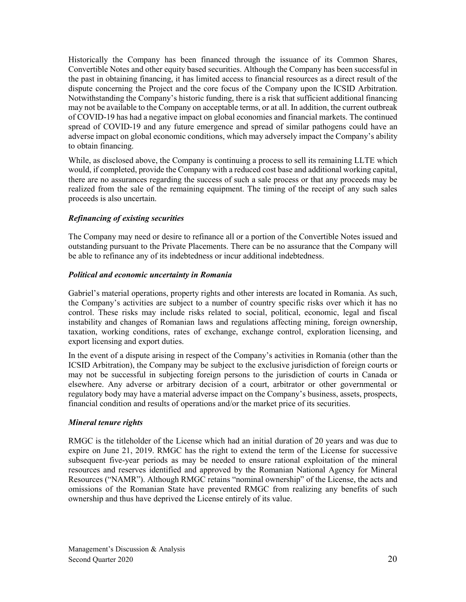Historically the Company has been financed through the issuance of its Common Shares, Convertible Notes and other equity based securities. Although the Company has been successful in the past in obtaining financing, it has limited access to financial resources as a direct result of the dispute concerning the Project and the core focus of the Company upon the ICSID Arbitration. Notwithstanding the Company's historic funding, there is a risk that sufficient additional financing may not be available to the Company on acceptable terms, or at all. In addition, the current outbreak of COVID-19 has had a negative impact on global economies and financial markets. The continued spread of COVID-19 and any future emergence and spread of similar pathogens could have an adverse impact on global economic conditions, which may adversely impact the Company's ability to obtain financing.

While, as disclosed above, the Company is continuing a process to sell its remaining LLTE which would, if completed, provide the Company with a reduced cost base and additional working capital, there are no assurances regarding the success of such a sale process or that any proceeds may be realized from the sale of the remaining equipment. The timing of the receipt of any such sales proceeds is also uncertain.

#### *Refinancing of existing securities*

The Company may need or desire to refinance all or a portion of the Convertible Notes issued and outstanding pursuant to the Private Placements. There can be no assurance that the Company will be able to refinance any of its indebtedness or incur additional indebtedness.

#### *Political and economic uncertainty in Romania*

Gabriel's material operations, property rights and other interests are located in Romania. As such, the Company's activities are subject to a number of country specific risks over which it has no control. These risks may include risks related to social, political, economic, legal and fiscal instability and changes of Romanian laws and regulations affecting mining, foreign ownership, taxation, working conditions, rates of exchange, exchange control, exploration licensing, and export licensing and export duties.

In the event of a dispute arising in respect of the Company's activities in Romania (other than the ICSID Arbitration), the Company may be subject to the exclusive jurisdiction of foreign courts or may not be successful in subjecting foreign persons to the jurisdiction of courts in Canada or elsewhere. Any adverse or arbitrary decision of a court, arbitrator or other governmental or regulatory body may have a material adverse impact on the Company's business, assets, prospects, financial condition and results of operations and/or the market price of its securities.

#### *Mineral tenure rights*

RMGC is the titleholder of the License which had an initial duration of 20 years and was due to expire on June 21, 2019. RMGC has the right to extend the term of the License for successive subsequent five-year periods as may be needed to ensure rational exploitation of the mineral resources and reserves identified and approved by the Romanian National Agency for Mineral Resources ("NAMR"). Although RMGC retains "nominal ownership" of the License, the acts and omissions of the Romanian State have prevented RMGC from realizing any benefits of such ownership and thus have deprived the License entirely of its value.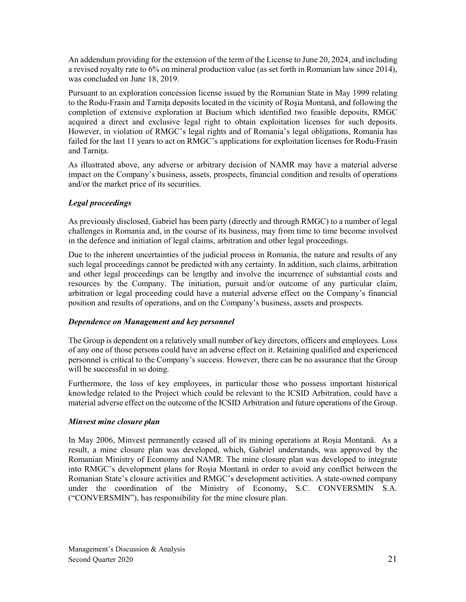An addendum providing for the extension of the term of the License to June 20, 2024, and including a revised royalty rate to 6% on mineral production value (as set forth in Romanian law since 2014), was concluded on June 18, 2019.

Pursuant to an exploration concession license issued by the Romanian State in May 1999 relating to the Rodu-Frasin and Tarniţa deposits located in the vicinity of Roşia Montană, and following the completion of extensive exploration at Bucium which identified two feasible deposits, RMGC acquired a direct and exclusive legal right to obtain exploitation licenses for such deposits. However, in violation of RMGC's legal rights and of Romania's legal obligations, Romania has failed for the last 11 years to act on RMGC's applications for exploitation licenses for Rodu-Frasin and Tarnita.

As illustrated above, any adverse or arbitrary decision of NAMR may have a material adverse impact on the Company's business, assets, prospects, financial condition and results of operations and/or the market price of its securities.

#### *Legal proceedings*

As previously disclosed, Gabriel has been party (directly and through RMGC) to a number of legal challenges in Romania and, in the course of its business, may from time to time become involved in the defence and initiation of legal claims, arbitration and other legal proceedings.

Due to the inherent uncertainties of the judicial process in Romania, the nature and results of any such legal proceedings cannot be predicted with any certainty. In addition, such claims, arbitration and other legal proceedings can be lengthy and involve the incurrence of substantial costs and resources by the Company. The initiation, pursuit and/or outcome of any particular claim, arbitration or legal proceeding could have a material adverse effect on the Company's financial position and results of operations, and on the Company's business, assets and prospects.

#### *Dependence on Management and key personnel*

The Group is dependent on a relatively small number of key directors, officers and employees. Loss of any one of those persons could have an adverse effect on it. Retaining qualified and experienced personnel is critical to the Company's success. However, there can be no assurance that the Group will be successful in so doing.

Furthermore, the loss of key employees, in particular those who possess important historical knowledge related to the Project which could be relevant to the ICSID Arbitration, could have a material adverse effect on the outcome of the ICSID Arbitration and future operations of the Group.

#### *Minvest mine closure plan*

In May 2006, Minvest permanently ceased all of its mining operations at Roșia Montană. As a result, a mine closure plan was developed, which, Gabriel understands, was approved by the Romanian Ministry of Economy and NAMR. The mine closure plan was developed to integrate into RMGC's development plans for Roșia Montană in order to avoid any conflict between the Romanian State's closure activities and RMGC's development activities. A state-owned company under the coordination of the Ministry of Economy, S.C. CONVERSMIN S.A. ("CONVERSMIN"), has responsibility for the mine closure plan.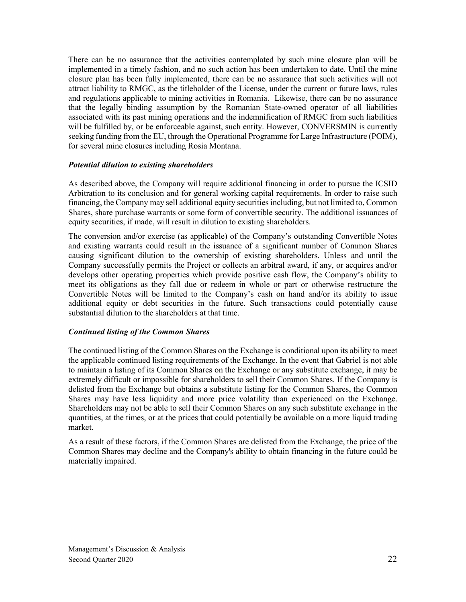There can be no assurance that the activities contemplated by such mine closure plan will be implemented in a timely fashion, and no such action has been undertaken to date. Until the mine closure plan has been fully implemented, there can be no assurance that such activities will not attract liability to RMGC, as the titleholder of the License, under the current or future laws, rules and regulations applicable to mining activities in Romania. Likewise, there can be no assurance that the legally binding assumption by the Romanian State-owned operator of all liabilities associated with its past mining operations and the indemnification of RMGC from such liabilities will be fulfilled by, or be enforceable against, such entity. However, CONVERSMIN is currently seeking funding from the EU, through the Operational Programme for Large Infrastructure (POIM), for several mine closures including Rosia Montana.

#### *Potential dilution to existing shareholders*

As described above, the Company will require additional financing in order to pursue the ICSID Arbitration to its conclusion and for general working capital requirements. In order to raise such financing, the Company may sell additional equity securities including, but not limited to, Common Shares, share purchase warrants or some form of convertible security. The additional issuances of equity securities, if made, will result in dilution to existing shareholders.

The conversion and/or exercise (as applicable) of the Company's outstanding Convertible Notes and existing warrants could result in the issuance of a significant number of Common Shares causing significant dilution to the ownership of existing shareholders. Unless and until the Company successfully permits the Project or collects an arbitral award, if any, or acquires and/or develops other operating properties which provide positive cash flow, the Company's ability to meet its obligations as they fall due or redeem in whole or part or otherwise restructure the Convertible Notes will be limited to the Company's cash on hand and/or its ability to issue additional equity or debt securities in the future. Such transactions could potentially cause substantial dilution to the shareholders at that time.

#### *Continued listing of the Common Shares*

The continued listing of the Common Shares on the Exchange is conditional upon its ability to meet the applicable continued listing requirements of the Exchange. In the event that Gabriel is not able to maintain a listing of its Common Shares on the Exchange or any substitute exchange, it may be extremely difficult or impossible for shareholders to sell their Common Shares. If the Company is delisted from the Exchange but obtains a substitute listing for the Common Shares, the Common Shares may have less liquidity and more price volatility than experienced on the Exchange. Shareholders may not be able to sell their Common Shares on any such substitute exchange in the quantities, at the times, or at the prices that could potentially be available on a more liquid trading market.

As a result of these factors, if the Common Shares are delisted from the Exchange, the price of the Common Shares may decline and the Company's ability to obtain financing in the future could be materially impaired.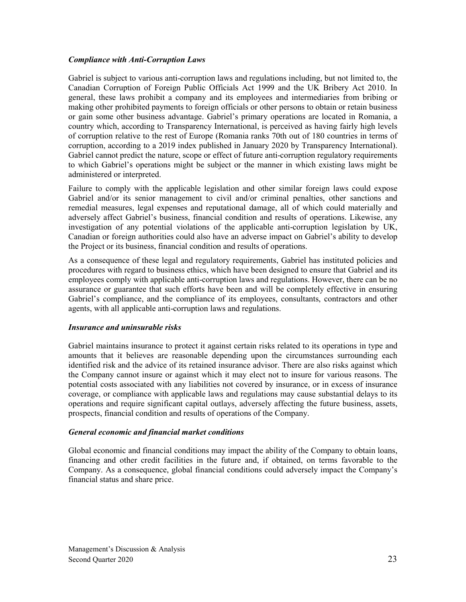#### *Compliance with Anti-Corruption Laws*

Gabriel is subject to various anti-corruption laws and regulations including, but not limited to, the Canadian Corruption of Foreign Public Officials Act 1999 and the UK Bribery Act 2010. In general, these laws prohibit a company and its employees and intermediaries from bribing or making other prohibited payments to foreign officials or other persons to obtain or retain business or gain some other business advantage. Gabriel's primary operations are located in Romania, a country which, according to Transparency International, is perceived as having fairly high levels of corruption relative to the rest of Europe (Romania ranks 70th out of 180 countries in terms of corruption, according to a 2019 index published in January 2020 by Transparency International). Gabriel cannot predict the nature, scope or effect of future anti-corruption regulatory requirements to which Gabriel's operations might be subject or the manner in which existing laws might be administered or interpreted.

Failure to comply with the applicable legislation and other similar foreign laws could expose Gabriel and/or its senior management to civil and/or criminal penalties, other sanctions and remedial measures, legal expenses and reputational damage, all of which could materially and adversely affect Gabriel's business, financial condition and results of operations. Likewise, any investigation of any potential violations of the applicable anti-corruption legislation by UK, Canadian or foreign authorities could also have an adverse impact on Gabriel's ability to develop the Project or its business, financial condition and results of operations.

As a consequence of these legal and regulatory requirements, Gabriel has instituted policies and procedures with regard to business ethics, which have been designed to ensure that Gabriel and its employees comply with applicable anti-corruption laws and regulations. However, there can be no assurance or guarantee that such efforts have been and will be completely effective in ensuring Gabriel's compliance, and the compliance of its employees, consultants, contractors and other agents, with all applicable anti-corruption laws and regulations.

#### *Insurance and uninsurable risks*

Gabriel maintains insurance to protect it against certain risks related to its operations in type and amounts that it believes are reasonable depending upon the circumstances surrounding each identified risk and the advice of its retained insurance advisor. There are also risks against which the Company cannot insure or against which it may elect not to insure for various reasons. The potential costs associated with any liabilities not covered by insurance, or in excess of insurance coverage, or compliance with applicable laws and regulations may cause substantial delays to its operations and require significant capital outlays, adversely affecting the future business, assets, prospects, financial condition and results of operations of the Company.

#### *General economic and financial market conditions*

Global economic and financial conditions may impact the ability of the Company to obtain loans, financing and other credit facilities in the future and, if obtained, on terms favorable to the Company. As a consequence, global financial conditions could adversely impact the Company's financial status and share price.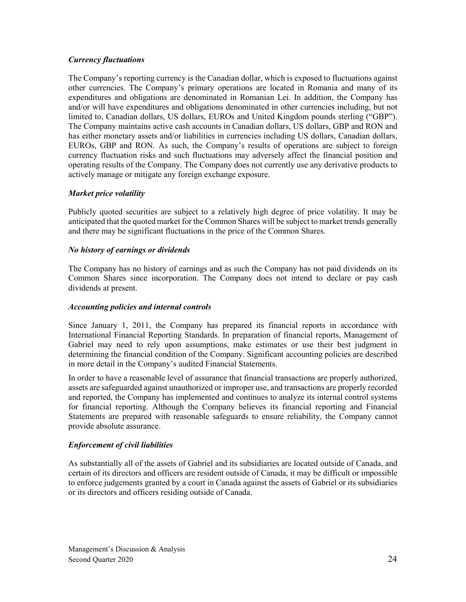#### *Currency fluctuations*

The Company's reporting currency is the Canadian dollar, which is exposed to fluctuations against other currencies. The Company's primary operations are located in Romania and many of its expenditures and obligations are denominated in Romanian Lei. In addition, the Company has and/or will have expenditures and obligations denominated in other currencies including, but not limited to, Canadian dollars, US dollars, EUROs and United Kingdom pounds sterling ("GBP"). The Company maintains active cash accounts in Canadian dollars, US dollars, GBP and RON and has either monetary assets and/or liabilities in currencies including US dollars, Canadian dollars, EUROs, GBP and RON. As such, the Company's results of operations are subject to foreign currency fluctuation risks and such fluctuations may adversely affect the financial position and operating results of the Company. The Company does not currently use any derivative products to actively manage or mitigate any foreign exchange exposure.

#### *Market price volatility*

Publicly quoted securities are subject to a relatively high degree of price volatility. It may be anticipated that the quoted market for the Common Shares will be subject to market trends generally and there may be significant fluctuations in the price of the Common Shares.

#### *No history of earnings or dividends*

The Company has no history of earnings and as such the Company has not paid dividends on its Common Shares since incorporation. The Company does not intend to declare or pay cash dividends at present.

#### *Accounting policies and internal controls*

Since January 1, 2011, the Company has prepared its financial reports in accordance with International Financial Reporting Standards. In preparation of financial reports, Management of Gabriel may need to rely upon assumptions, make estimates or use their best judgment in determining the financial condition of the Company. Significant accounting policies are described in more detail in the Company's audited Financial Statements.

In order to have a reasonable level of assurance that financial transactions are properly authorized, assets are safeguarded against unauthorized or improper use, and transactions are properly recorded and reported, the Company has implemented and continues to analyze its internal control systems for financial reporting. Although the Company believes its financial reporting and Financial Statements are prepared with reasonable safeguards to ensure reliability, the Company cannot provide absolute assurance.

#### *Enforcement of civil liabilities*

As substantially all of the assets of Gabriel and its subsidiaries are located outside of Canada, and certain of its directors and officers are resident outside of Canada, it may be difficult or impossible to enforce judgements granted by a court in Canada against the assets of Gabriel or its subsidiaries or its directors and officers residing outside of Canada.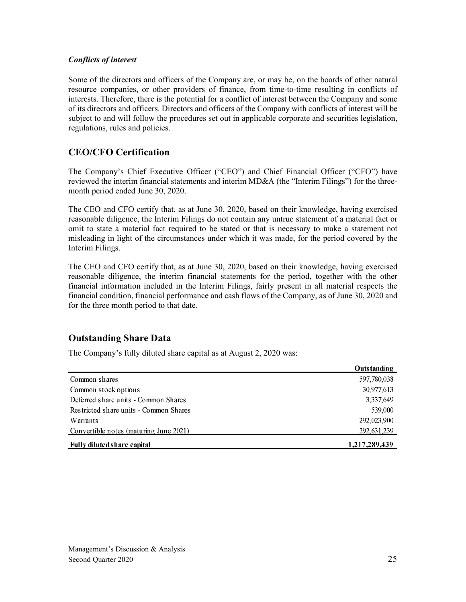#### *Conflicts of interest*

Some of the directors and officers of the Company are, or may be, on the boards of other natural resource companies, or other providers of finance, from time-to-time resulting in conflicts of interests. Therefore, there is the potential for a conflict of interest between the Company and some of its directors and officers. Directors and officers of the Company with conflicts of interest will be subject to and will follow the procedures set out in applicable corporate and securities legislation, regulations, rules and policies.

## **CEO/CFO Certification**

The Company's Chief Executive Officer ("CEO") and Chief Financial Officer ("CFO") have reviewed the interim financial statements and interim MD&A (the "Interim Filings") for the threemonth period ended June 30, 2020.

The CEO and CFO certify that, as at June 30, 2020, based on their knowledge, having exercised reasonable diligence, the Interim Filings do not contain any untrue statement of a material fact or omit to state a material fact required to be stated or that is necessary to make a statement not misleading in light of the circumstances under which it was made, for the period covered by the Interim Filings.

The CEO and CFO certify that, as at June 30, 2020, based on their knowledge, having exercised reasonable diligence, the interim financial statements for the period, together with the other financial information included in the Interim Filings, fairly present in all material respects the financial condition, financial performance and cash flows of the Company, as of June 30, 2020 and for the three month period to that date.

## **Outstanding Share Data**

The Company's fully diluted share capital as at August 2, 2020 was:

|                                        | <b>Outstanding</b> |
|----------------------------------------|--------------------|
| Common shares                          | 597,780,038        |
| Common stock options                   | 30,977,613         |
| Deferred share units - Common Shares   | 3,337,649          |
| Restricted share units - Common Shares | 539,000            |
| <b>Warrants</b>                        | 292,023,900        |
| Convertible notes (maturing June 2021) | 292, 631, 239      |
| Fully diluted share capital            | 1,217,289,439      |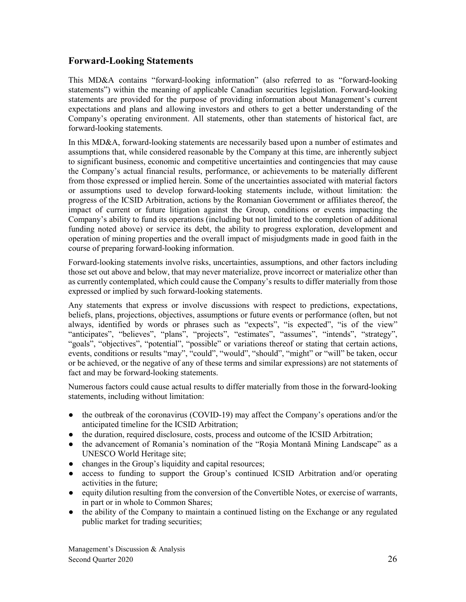## **Forward-Looking Statements**

This MD&A contains "forward-looking information" (also referred to as "forward-looking statements") within the meaning of applicable Canadian securities legislation. Forward-looking statements are provided for the purpose of providing information about Management's current expectations and plans and allowing investors and others to get a better understanding of the Company's operating environment. All statements, other than statements of historical fact, are forward-looking statements.

In this MD&A, forward-looking statements are necessarily based upon a number of estimates and assumptions that, while considered reasonable by the Company at this time, are inherently subject to significant business, economic and competitive uncertainties and contingencies that may cause the Company's actual financial results, performance, or achievements to be materially different from those expressed or implied herein. Some of the uncertainties associated with material factors or assumptions used to develop forward-looking statements include, without limitation: the progress of the ICSID Arbitration, actions by the Romanian Government or affiliates thereof, the impact of current or future litigation against the Group, conditions or events impacting the Company's ability to fund its operations (including but not limited to the completion of additional funding noted above) or service its debt, the ability to progress exploration, development and operation of mining properties and the overall impact of misjudgments made in good faith in the course of preparing forward-looking information.

Forward-looking statements involve risks, uncertainties, assumptions, and other factors including those set out above and below, that may never materialize, prove incorrect or materialize other than as currently contemplated, which could cause the Company's results to differ materially from those expressed or implied by such forward-looking statements.

Any statements that express or involve discussions with respect to predictions, expectations, beliefs, plans, projections, objectives, assumptions or future events or performance (often, but not always, identified by words or phrases such as "expects", "is expected", "is of the view" "anticipates", "believes", "plans", "projects", "estimates", "assumes", "intends", "strategy", "goals", "objectives", "potential", "possible" or variations thereof or stating that certain actions, events, conditions or results "may", "could", "would", "should", "might" or "will" be taken, occur or be achieved, or the negative of any of these terms and similar expressions) are not statements of fact and may be forward-looking statements.

Numerous factors could cause actual results to differ materially from those in the forward-looking statements, including without limitation:

- the outbreak of the coronavirus (COVID-19) may affect the Company's operations and/or the anticipated timeline for the ICSID Arbitration;
- the duration, required disclosure, costs, process and outcome of the ICSID Arbitration;
- the advancement of Romania's nomination of the "Rosia Montană Mining Landscape" as a UNESCO World Heritage site;
- changes in the Group's liquidity and capital resources;
- access to funding to support the Group's continued ICSID Arbitration and/or operating activities in the future;
- equity dilution resulting from the conversion of the Convertible Notes, or exercise of warrants, in part or in whole to Common Shares;
- the ability of the Company to maintain a continued listing on the Exchange or any regulated public market for trading securities;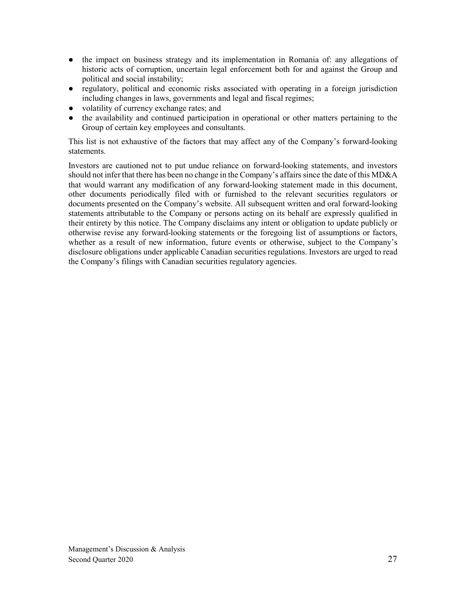- the impact on business strategy and its implementation in Romania of: any allegations of historic acts of corruption, uncertain legal enforcement both for and against the Group and political and social instability;
- regulatory, political and economic risks associated with operating in a foreign jurisdiction including changes in laws, governments and legal and fiscal regimes;
- volatility of currency exchange rates; and
- the availability and continued participation in operational or other matters pertaining to the Group of certain key employees and consultants.

This list is not exhaustive of the factors that may affect any of the Company's forward-looking statements.

Investors are cautioned not to put undue reliance on forward-looking statements, and investors should not infer that there has been no change in the Company's affairs since the date of this MD&A that would warrant any modification of any forward-looking statement made in this document, other documents periodically filed with or furnished to the relevant securities regulators or documents presented on the Company's website. All subsequent written and oral forward-looking statements attributable to the Company or persons acting on its behalf are expressly qualified in their entirety by this notice. The Company disclaims any intent or obligation to update publicly or otherwise revise any forward-looking statements or the foregoing list of assumptions or factors, whether as a result of new information, future events or otherwise, subject to the Company's disclosure obligations under applicable Canadian securities regulations. Investors are urged to read the Company's filings with Canadian securities regulatory agencies.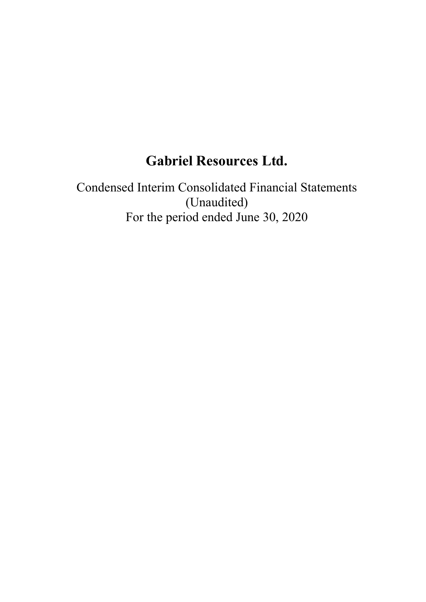# **Gabriel Resources Ltd.**

Condensed Interim Consolidated Financial Statements (Unaudited) For the period ended June 30, 2020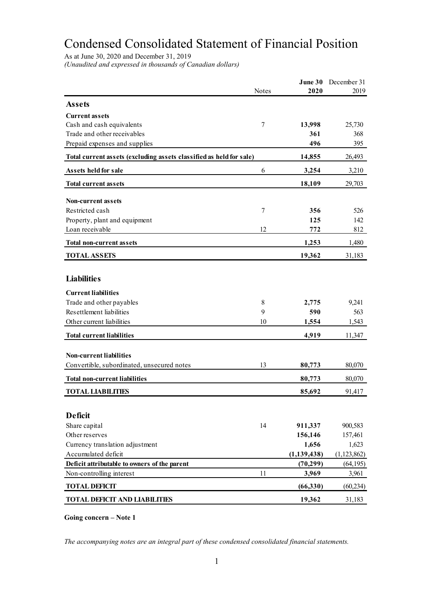# Condensed Consolidated Statement of Financial Position

As at June 30, 2020 and December 31, 2019

*(Unaudited and expressed in thousands of Canadian dollars)*

|                                                                     |              | June 30       | December 31   |
|---------------------------------------------------------------------|--------------|---------------|---------------|
|                                                                     | <b>Notes</b> | 2020          | 2019          |
| <b>Assets</b>                                                       |              |               |               |
| <b>Current assets</b>                                               |              |               |               |
| Cash and cash equivalents                                           | 7            | 13,998        | 25,730        |
| Trade and other receivables                                         |              | 361           | 368           |
| Prepaid expenses and supplies                                       |              | 496           | 395           |
| Total current assets (excluding assets classified as held for sale) |              | 14,855        | 26,493        |
| Assets held for sale                                                | 6            | 3,254         | 3,210         |
| <b>Total current assets</b>                                         |              | 18,109        | 29,703        |
| <b>Non-current assets</b>                                           |              |               |               |
| Restricted cash                                                     | 7            | 356           | 526           |
| Property, plant and equipment                                       |              | 125           | 142           |
| Loan receivable                                                     | 12           | 772           | 812           |
| <b>Total non-current assets</b>                                     |              | 1,253         | 1,480         |
| <b>TOTAL ASSETS</b>                                                 |              | 19,362        | 31,183        |
|                                                                     |              |               |               |
| <b>Liabilities</b>                                                  |              |               |               |
| <b>Current liabilities</b>                                          |              |               |               |
| Trade and other payables                                            | 8            | 2,775         | 9,241         |
| Resettlement liabilities                                            | 9            | 590           | 563           |
| Other current liabilities                                           | 10           | 1,554         | 1,543         |
| <b>Total current liabilities</b>                                    |              | 4,919         | 11,347        |
| <b>Non-current liabilities</b>                                      |              |               |               |
| Convertible, subordinated, unsecured notes                          | 13           | 80,773        | 80,070        |
|                                                                     |              |               |               |
| <b>Total non-current liabilities</b>                                |              | 80,773        | 80,070        |
| <b>TOTAL LIABILITIES</b>                                            |              | 85,692        | 91,417        |
|                                                                     |              |               |               |
| <b>Deficit</b>                                                      |              |               |               |
| Share capital                                                       | 14           | 911,337       | 900,583       |
| Other reserves                                                      |              | 156,146       | 157,461       |
| Currency translation adjustment                                     |              | 1,656         | 1,623         |
| Accumulated deficit                                                 |              | (1, 139, 438) | (1, 123, 862) |
| Deficit attributable to owners of the parent                        |              | (70, 299)     | (64, 195)     |
| Non-controlling interest                                            | 11           | 3,969         | 3,961         |
| <b>TOTAL DEFICIT</b>                                                |              | (66,330)      | (60, 234)     |
| <b>TOTAL DEFICIT AND LIABILITIES</b>                                |              | 19,362        | 31,183        |

**Going concern – Note 1**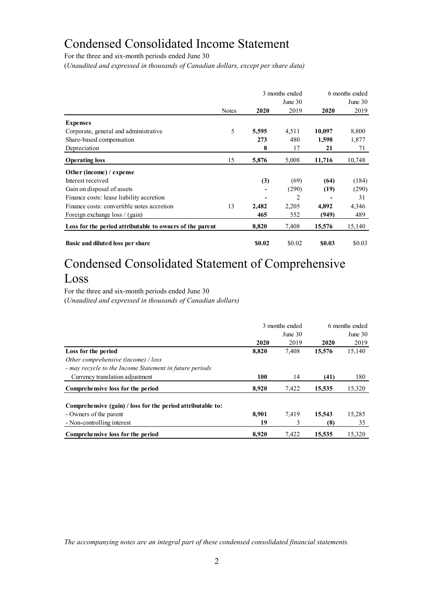## Condensed Consolidated Income Statement

For the three and six-month periods ended June 30

(*Unaudited and expressed in thousands of Canadian dollars, except per share data)*

|                                                          |              |        | 3 months ended | 6 months ended |           |  |
|----------------------------------------------------------|--------------|--------|----------------|----------------|-----------|--|
|                                                          |              |        | June $30$      |                | June $30$ |  |
|                                                          | <b>Notes</b> | 2020   | 2019           | 2020           | 2019      |  |
| <b>Expenses</b>                                          |              |        |                |                |           |  |
| Corporate, general and administrative                    | 5            | 5,595  | 4,511          | 10,097         | 8,800     |  |
| Share-based compensation                                 |              | 273    | 480            | 1,598          | 1,877     |  |
| Depreciation                                             |              | 8      | 17             | 21             | 71        |  |
| <b>Operating loss</b>                                    | 15           | 5,876  | 5,008          | 11,716         | 10,748    |  |
| Other (income) / expense                                 |              |        |                |                |           |  |
| Interest received                                        |              | (3)    | (69)           | (64)           | (184)     |  |
| Gain on disposal of assets                               |              |        | (290)          | (19)           | (290)     |  |
| Finance costs: lease liability accretion                 |              |        | 2              |                | 31        |  |
| Finance costs: convertible notes accretion               | 13           | 2,482  | 2,205          | 4,892          | 4,346     |  |
| Foreign exchange loss / (gain)                           |              | 465    | 552            | (949)          | 489       |  |
| Loss for the period attributable to owners of the parent |              | 8,820  | 7,408          | 15,576         | 15,140    |  |
| Basic and diluted loss per share                         |              | \$0.02 | \$0.02         | \$0.03         | \$0.03    |  |

# Condensed Consolidated Statement of Comprehensive Loss

For the three and six-month periods ended June 30 (*Unaudited and expressed in thousands of Canadian dollars)*

|                                                             |       | 3 months ended | 6 months ended<br>June $30$ |        |  |
|-------------------------------------------------------------|-------|----------------|-----------------------------|--------|--|
|                                                             |       | June $30$      |                             |        |  |
|                                                             | 2020  | 2019           | 2020                        | 2019   |  |
| Loss for the period                                         | 8,820 | 7,408          | 15,576                      | 15,140 |  |
| Other comprehensive (income) / loss                         |       |                |                             |        |  |
| - may recycle to the Income Statement in future periods     |       |                |                             |        |  |
| Currency translation adjustment                             | 100   | 14             | (41)                        | 180    |  |
| Comprehensive loss for the period                           | 8.920 | 7,422          | 15,535                      | 15,320 |  |
| Comprehensive (gain) / loss for the period attributable to: |       |                |                             |        |  |
| - Owners of the parent                                      | 8.901 | 7.419          | 15,543                      | 15,285 |  |
| - Non-controlling interest                                  | 19    | 3              | (8)                         | 35     |  |
| Comprehensive loss for the period                           | 8.920 | 7.422          | 15.535                      | 15,320 |  |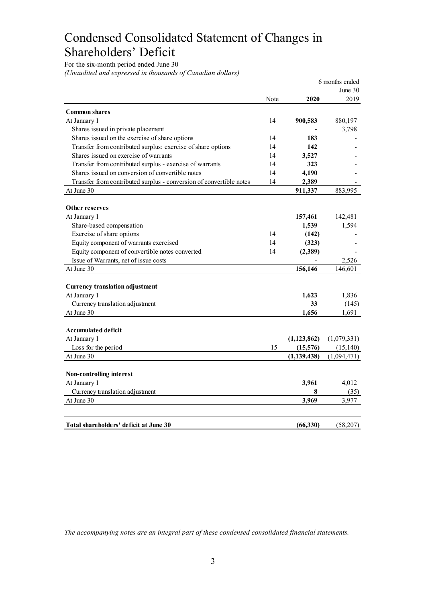# Condensed Consolidated Statement of Changes in Shareholders' Deficit

For the six-month period ended June 30

*(Unaudited and expressed in thousands of Canadian dollars)*

|                                                                     |      |               | 6 months ended   |
|---------------------------------------------------------------------|------|---------------|------------------|
|                                                                     | Note | 2020          | June 30<br>2019  |
| <b>Common shares</b>                                                |      |               |                  |
| At January 1                                                        | 14   | 900,583       | 880,197          |
| Shares issued in private placement                                  |      |               | 3,798            |
| Shares issued on the exercise of share options                      | 14   | 183           |                  |
| Transfer from contributed surplus: exercise of share options        | 14   | 142           |                  |
| Shares issued on exercise of warrants                               | 14   | 3,527         |                  |
| Transfer from contributed surplus - exercise of warrants            | 14   | 323           |                  |
| Shares issued on conversion of convertible notes                    | 14   | 4,190         |                  |
| Transfer from contributed surplus - conversion of convertible notes | 14   | 2,389         |                  |
| At June 30                                                          |      | 911,337       | 883,995          |
|                                                                     |      |               |                  |
| Other reserves                                                      |      |               |                  |
| At January 1                                                        |      | 157,461       | 142,481<br>1,594 |
| Share-based compensation                                            |      | 1,539         |                  |
| Exercise of share options                                           | 14   | (142)         |                  |
| Equity component of warrants exercised                              | 14   | (323)         |                  |
| Equity component of convertible notes converted                     | 14   | (2,389)       |                  |
| Issue of Warrants, net of issue costs                               |      |               | 2,526            |
| At June 30                                                          |      | 156,146       | 146.601          |
| <b>Currency translation adjustment</b>                              |      |               |                  |
| At January 1                                                        |      | 1,623         | 1,836            |
| Currency translation adjustment                                     |      | 33            | (145)            |
| At June 30                                                          |      | 1,656         | 1,691            |
| Accumulated deficit                                                 |      |               |                  |
| At January 1                                                        |      | (1, 123, 862) | (1,079,331)      |
| Loss for the period                                                 | 15   | (15,576)      | (15, 140)        |
| At June 30                                                          |      | (1, 139, 438) | (1,094,471)      |
|                                                                     |      |               |                  |
| Non-controlling interest                                            |      |               |                  |
| At January 1                                                        |      | 3,961         | 4,012            |
| Currency translation adjustment                                     |      | 8             | (35)             |
| At June 30                                                          |      | 3,969         | 3,977            |
|                                                                     |      |               |                  |
| Total shareholders' deficit at June 30                              |      | (66, 330)     | (58,207)         |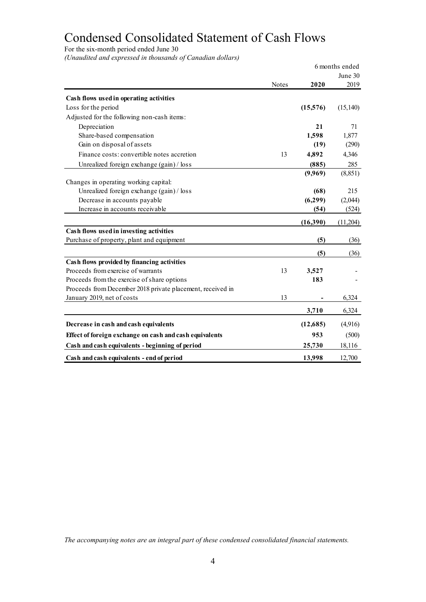# Condensed Consolidated Statement of Cash Flows

For the six-month period ended June 30

*(Unaudited and expressed in thousands of Canadian dollars)*

|                                                            |       |           | 6 months ended |
|------------------------------------------------------------|-------|-----------|----------------|
|                                                            |       |           | June 30        |
|                                                            | Notes | 2020      | 2019           |
| Cash flows used in operating activities                    |       |           |                |
| Loss for the period                                        |       | (15,576)  | (15, 140)      |
| Adjusted for the following non-cash items:                 |       |           |                |
| Depreciation                                               |       | 21        | 71             |
| Share-based compensation                                   |       | 1,598     | 1,877          |
| Gain on disposal of assets                                 |       | (19)      | (290)          |
| Finance costs: convertible notes accretion                 | 13    | 4,892     | 4,346          |
| Unrealized foreign exchange (gain) / loss                  |       | (885)     | 285            |
|                                                            |       | (9,969)   | (8, 851)       |
| Changes in operating working capital:                      |       |           |                |
| Unrealized foreign exchange (gain) / loss                  |       | (68)      | 215            |
| Decrease in accounts payable                               |       | (6,299)   | (2,044)        |
| Increase in accounts receivable                            |       | (54)      | (524)          |
|                                                            |       | (16,390)  | (11,204)       |
| Cash flows used in investing activities                    |       |           |                |
| Purchase of property, plant and equipment                  |       | (5)       | (36)           |
|                                                            |       | (5)       | (36)           |
| Cash flows provided by financing activities                |       |           |                |
| Proceeds from exercise of warrants                         | 13    | 3,527     |                |
| Proceeds from the exercise of share options                |       | 183       |                |
| Proceeds from December 2018 private placement, received in |       |           |                |
| January 2019, net of costs                                 | 13    |           | 6,324          |
|                                                            |       | 3,710     | 6,324          |
| Decrease in cash and cash equivalents                      |       | (12, 685) | (4,916)        |
| Effect of foreign exchange on cash and cash equivalents    |       | 953       | (500)          |
| Cash and cash equivalents - beginning of period            |       | 25,730    | 18,116         |
| Cash and cash equivalents - end of period                  |       | 13,998    | 12,700         |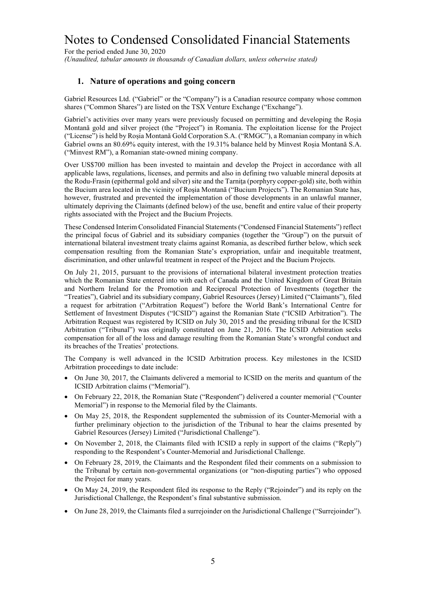For the period ended June 30, 2020 *(Unaudited, tabular amounts in thousands of Canadian dollars, unless otherwise stated)*

#### **1. Nature of operations and going concern**

Gabriel Resources Ltd. ("Gabriel" or the "Company") is a Canadian resource company whose common shares ("Common Shares") are listed on the TSX Venture Exchange ("Exchange").

Gabriel's activities over many years were previously focused on permitting and developing the Roșia Montană gold and silver project (the "Project") in Romania. The exploitation license for the Project ("License") is held by Roșia Montană Gold Corporation S.A. ("RMGC"), a Romanian company in which Gabriel owns an 80.69% equity interest, with the 19.31% balance held by Minvest Roșia Montană S.A. ("Minvest RM"), a Romanian state-owned mining company.

Over US\$700 million has been invested to maintain and develop the Project in accordance with all applicable laws, regulations, licenses, and permits and also in defining two valuable mineral deposits at the Rodu-Frasin (epithermal gold and silver) site and the Tarniţa (porphyry copper-gold) site, both within the Bucium area located in the vicinity of Roşia Montană ("Bucium Projects"). The Romanian State has, however, frustrated and prevented the implementation of those developments in an unlawful manner, ultimately depriving the Claimants (defined below) of the use, benefit and entire value of their property rights associated with the Project and the Bucium Projects.

These Condensed Interim Consolidated Financial Statements ("Condensed Financial Statements") reflect the principal focus of Gabriel and its subsidiary companies (together the "Group") on the pursuit of international bilateral investment treaty claims against Romania, as described further below, which seek compensation resulting from the Romanian State's expropriation, unfair and inequitable treatment, discrimination, and other unlawful treatment in respect of the Project and the Bucium Projects.

On July 21, 2015, pursuant to the provisions of international bilateral investment protection treaties which the Romanian State entered into with each of Canada and the United Kingdom of Great Britain and Northern Ireland for the Promotion and Reciprocal Protection of Investments (together the "Treaties"), Gabriel and its subsidiary company, Gabriel Resources (Jersey) Limited ("Claimants"), filed a request for arbitration ("Arbitration Request") before the World Bank's International Centre for Settlement of Investment Disputes ("ICSID") against the Romanian State ("ICSID Arbitration"). The Arbitration Request was registered by ICSID on July 30, 2015 and the presiding tribunal for the ICSID Arbitration ("Tribunal") was originally constituted on June 21, 2016. The ICSID Arbitration seeks compensation for all of the loss and damage resulting from the Romanian State's wrongful conduct and its breaches of the Treaties' protections.

The Company is well advanced in the ICSID Arbitration process. Key milestones in the ICSID Arbitration proceedings to date include:

- On June 30, 2017, the Claimants delivered a memorial to ICSID on the merits and quantum of the ICSID Arbitration claims ("Memorial").
- On February 22, 2018, the Romanian State ("Respondent") delivered a counter memorial ("Counter Memorial") in response to the Memorial filed by the Claimants.
- On May 25, 2018, the Respondent supplemented the submission of its Counter-Memorial with a further preliminary objection to the jurisdiction of the Tribunal to hear the claims presented by Gabriel Resources (Jersey) Limited ("Jurisdictional Challenge").
- On November 2, 2018, the Claimants filed with ICSID a reply in support of the claims ("Reply") responding to the Respondent's Counter-Memorial and Jurisdictional Challenge.
- On February 28, 2019, the Claimants and the Respondent filed their comments on a submission to the Tribunal by certain non-governmental organizations (or "non-disputing parties") who opposed the Project for many years.
- On May 24, 2019, the Respondent filed its response to the Reply ("Rejoinder") and its reply on the Jurisdictional Challenge, the Respondent's final substantive submission.
- On June 28, 2019, the Claimants filed a surrejoinder on the Jurisdictional Challenge ("Surrejoinder").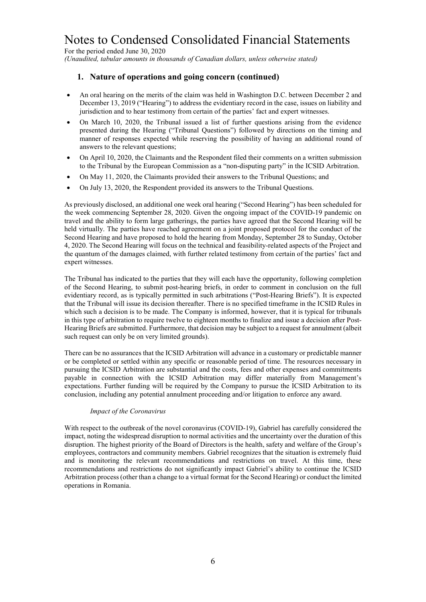For the period ended June 30, 2020 *(Unaudited, tabular amounts in thousands of Canadian dollars, unless otherwise stated)*

## **1. Nature of operations and going concern (continued)**

- An oral hearing on the merits of the claim was held in Washington D.C. between December 2 and December 13, 2019 ("Hearing") to address the evidentiary record in the case, issues on liability and jurisdiction and to hear testimony from certain of the parties' fact and expert witnesses.
- On March 10, 2020, the Tribunal issued a list of further questions arising from the evidence presented during the Hearing ("Tribunal Questions") followed by directions on the timing and manner of responses expected while reserving the possibility of having an additional round of answers to the relevant questions;
- On April 10, 2020, the Claimants and the Respondent filed their comments on a written submission to the Tribunal by the European Commission as a "non-disputing party" in the ICSID Arbitration.
- On May 11, 2020, the Claimants provided their answers to the Tribunal Questions; and
- On July 13, 2020, the Respondent provided its answers to the Tribunal Questions.

As previously disclosed, an additional one week oral hearing ("Second Hearing") has been scheduled for the week commencing September 28, 2020. Given the ongoing impact of the COVID-19 pandemic on travel and the ability to form large gatherings, the parties have agreed that the Second Hearing will be held virtually. The parties have reached agreement on a joint proposed protocol for the conduct of the Second Hearing and have proposed to hold the hearing from Monday, September 28 to Sunday, October 4, 2020. The Second Hearing will focus on the technical and feasibility-related aspects of the Project and the quantum of the damages claimed, with further related testimony from certain of the parties' fact and expert witnesses.

The Tribunal has indicated to the parties that they will each have the opportunity, following completion of the Second Hearing, to submit post-hearing briefs, in order to comment in conclusion on the full evidentiary record, as is typically permitted in such arbitrations ("Post-Hearing Briefs"). It is expected that the Tribunal will issue its decision thereafter. There is no specified timeframe in the ICSID Rules in which such a decision is to be made. The Company is informed, however, that it is typical for tribunals in this type of arbitration to require twelve to eighteen months to finalize and issue a decision after Post-Hearing Briefs are submitted. Furthermore, that decision may be subject to a request for annulment (albeit such request can only be on very limited grounds).

There can be no assurances that the ICSID Arbitration will advance in a customary or predictable manner or be completed or settled within any specific or reasonable period of time. The resources necessary in pursuing the ICSID Arbitration are substantial and the costs, fees and other expenses and commitments payable in connection with the ICSID Arbitration may differ materially from Management's expectations. Further funding will be required by the Company to pursue the ICSID Arbitration to its conclusion, including any potential annulment proceeding and/or litigation to enforce any award.

#### *Impact of the Coronavirus*

With respect to the outbreak of the novel coronavirus (COVID-19), Gabriel has carefully considered the impact, noting the widespread disruption to normal activities and the uncertainty over the duration of this disruption. The highest priority of the Board of Directors is the health, safety and welfare of the Group's employees, contractors and community members. Gabriel recognizes that the situation is extremely fluid and is monitoring the relevant recommendations and restrictions on travel. At this time, these recommendations and restrictions do not significantly impact Gabriel's ability to continue the ICSID Arbitration process (other than a change to a virtual format for the Second Hearing) or conduct the limited operations in Romania.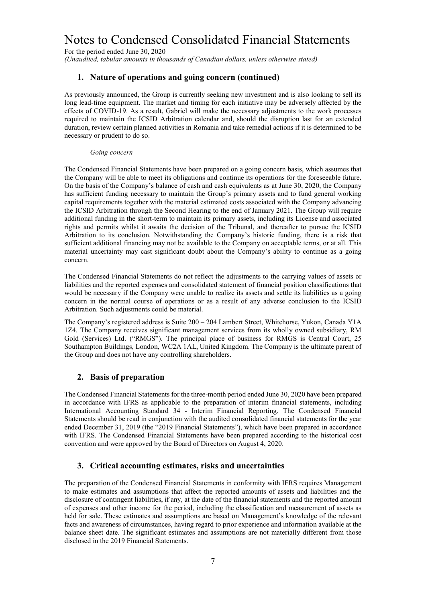For the period ended June 30, 2020

*(Unaudited, tabular amounts in thousands of Canadian dollars, unless otherwise stated)*

#### **1. Nature of operations and going concern (continued)**

As previously announced, the Group is currently seeking new investment and is also looking to sell its long lead-time equipment. The market and timing for each initiative may be adversely affected by the effects of COVID-19. As a result, Gabriel will make the necessary adjustments to the work processes required to maintain the ICSID Arbitration calendar and, should the disruption last for an extended duration, review certain planned activities in Romania and take remedial actions if it is determined to be necessary or prudent to do so.

#### *Going concern*

The Condensed Financial Statements have been prepared on a going concern basis, which assumes that the Company will be able to meet its obligations and continue its operations for the foreseeable future. On the basis of the Company's balance of cash and cash equivalents as at June 30, 2020, the Company has sufficient funding necessary to maintain the Group's primary assets and to fund general working capital requirements together with the material estimated costs associated with the Company advancing the ICSID Arbitration through the Second Hearing to the end of January 2021. The Group will require additional funding in the short-term to maintain its primary assets, including its License and associated rights and permits whilst it awaits the decision of the Tribunal, and thereafter to pursue the ICSID Arbitration to its conclusion. Notwithstanding the Company's historic funding, there is a risk that sufficient additional financing may not be available to the Company on acceptable terms, or at all. This material uncertainty may cast significant doubt about the Company's ability to continue as a going concern.

The Condensed Financial Statements do not reflect the adjustments to the carrying values of assets or liabilities and the reported expenses and consolidated statement of financial position classifications that would be necessary if the Company were unable to realize its assets and settle its liabilities as a going concern in the normal course of operations or as a result of any adverse conclusion to the ICSID Arbitration. Such adjustments could be material.

The Company's registered address is Suite 200 – 204 Lambert Street, Whitehorse, Yukon, Canada Y1A 1Z4. The Company receives significant management services from its wholly owned subsidiary, RM Gold (Services) Ltd. ("RMGS"). The principal place of business for RMGS is Central Court, 25 Southampton Buildings, London, WC2A 1AL, United Kingdom. The Company is the ultimate parent of the Group and does not have any controlling shareholders.

#### **2. Basis of preparation**

The Condensed Financial Statements for the three-month period ended June 30, 2020 have been prepared in accordance with IFRS as applicable to the preparation of interim financial statements, including International Accounting Standard 34 - Interim Financial Reporting. The Condensed Financial Statements should be read in conjunction with the audited consolidated financial statements for the year ended December 31, 2019 (the "2019 Financial Statements"), which have been prepared in accordance with IFRS. The Condensed Financial Statements have been prepared according to the historical cost convention and were approved by the Board of Directors on August 4, 2020.

#### **3. Critical accounting estimates, risks and uncertainties**

The preparation of the Condensed Financial Statements in conformity with IFRS requires Management to make estimates and assumptions that affect the reported amounts of assets and liabilities and the disclosure of contingent liabilities, if any, at the date of the financial statements and the reported amount of expenses and other income for the period, including the classification and measurement of assets as held for sale. These estimates and assumptions are based on Management's knowledge of the relevant facts and awareness of circumstances, having regard to prior experience and information available at the balance sheet date. The significant estimates and assumptions are not materially different from those disclosed in the 2019 Financial Statements.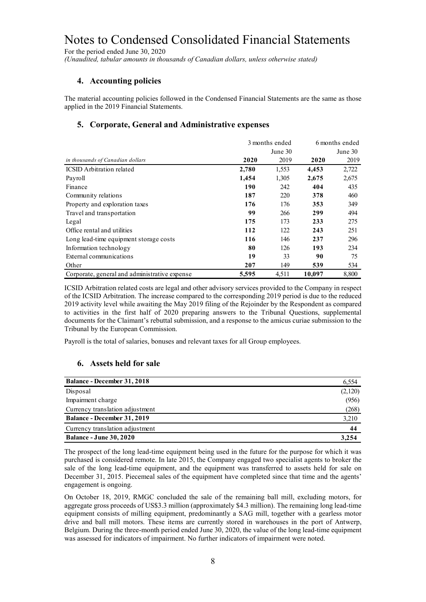For the period ended June 30, 2020

*(Unaudited, tabular amounts in thousands of Canadian dollars, unless otherwise stated)*

### **4. Accounting policies**

The material accounting policies followed in the Condensed Financial Statements are the same as those applied in the 2019 Financial Statements.

### **5. Corporate, General and Administrative expenses**

|                                               |       | 3 months ended | 6 months ended |         |
|-----------------------------------------------|-------|----------------|----------------|---------|
|                                               |       | June 30        |                | June 30 |
| in thousands of Canadian dollars              | 2020  | 2019           | 2020           | 2019    |
| <b>ICSID</b> Arbitration related              | 2,780 | 1,553          | 4,453          | 2,722   |
| Payroll                                       | 1,454 | 1,305          | 2,675          | 2,675   |
| Finance                                       | 190   | 242            | 404            | 435     |
| Community relations                           | 187   | 220            | 378            | 460     |
| Property and exploration taxes                | 176   | 176            | 353            | 349     |
| Travel and transportation                     | 99    | 266            | 299            | 494     |
| Legal                                         | 175   | 173            | 233            | 275     |
| Office rental and utilities                   | 112   | 122            | 243            | 251     |
| Long lead-time equipment storage costs        | 116   | 146            | 237            | 296     |
| Information technology                        | 80    | 126            | 193            | 234     |
| External communications                       | 19    | 33             | 90             | 75      |
| Other                                         | 207   | 149            | 539            | 534     |
| Corporate, general and administrative expense | 5,595 | 4,511          | 10,097         | 8.800   |

ICSID Arbitration related costs are legal and other advisory services provided to the Company in respect of the ICSID Arbitration. The increase compared to the corresponding 2019 period is due to the reduced 2019 activity level while awaiting the May 2019 filing of the Rejoinder by the Respondent as compared to activities in the first half of 2020 preparing answers to the Tribunal Questions, supplemental documents for the Claimant's rebuttal submission, and a response to the amicus curiae submission to the Tribunal by the European Commission.

Payroll is the total of salaries, bonuses and relevant taxes for all Group employees.

#### **6. Assets held for sale**

| <b>Balance - December 31, 2018</b> | 6,554   |
|------------------------------------|---------|
| Disposal                           | (2,120) |
| Impairment charge                  | (956)   |
| Currency translation adjustment    | (268)   |
| <b>Balance - December 31, 2019</b> | 3,210   |
| Currency translation adjustment    | 44      |
| <b>Balance - June 30, 2020</b>     | 3.254   |

The prospect of the long lead-time equipment being used in the future for the purpose for which it was purchased is considered remote. In late 2015, the Company engaged two specialist agents to broker the sale of the long lead-time equipment, and the equipment was transferred to assets held for sale on December 31, 2015. Piecemeal sales of the equipment have completed since that time and the agents' engagement is ongoing.

On October 18, 2019, RMGC concluded the sale of the remaining ball mill, excluding motors, for aggregate gross proceeds of US\$3.3 million (approximately \$4.3 million). The remaining long lead-time equipment consists of milling equipment, predominantly a SAG mill, together with a gearless motor drive and ball mill motors. These items are currently stored in warehouses in the port of Antwerp, Belgium. During the three-month period ended June 30, 2020, the value of the long lead-time equipment was assessed for indicators of impairment. No further indicators of impairment were noted.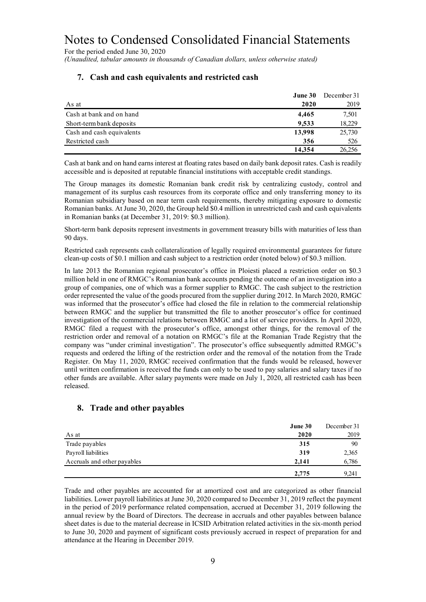For the period ended June 30, 2020

*(Unaudited, tabular amounts in thousands of Canadian dollars, unless otherwise stated)*

|                           | June 30 | December 31 |
|---------------------------|---------|-------------|
| As at                     | 2020    | 2019        |
| Cash at bank and on hand  | 4.465   | 7,501       |
| Short-term bank deposits  | 9,533   | 18,229      |
| Cash and cash equivalents | 13,998  | 25,730      |
| Restricted cash           | 356     | 526         |
|                           | 14,354  | 26,256      |

#### **7. Cash and cash equivalents and restricted cash**

Cash at bank and on hand earns interest at floating rates based on daily bank deposit rates. Cash is readily accessible and is deposited at reputable financial institutions with acceptable credit standings.

The Group manages its domestic Romanian bank credit risk by centralizing custody, control and management of its surplus cash resources from its corporate office and only transferring money to its Romanian subsidiary based on near term cash requirements, thereby mitigating exposure to domestic Romanian banks. At June 30, 2020, the Group held \$0.4 million in unrestricted cash and cash equivalents in Romanian banks (at December 31, 2019: \$0.3 million).

Short-term bank deposits represent investments in government treasury bills with maturities of less than 90 days.

Restricted cash represents cash collateralization of legally required environmental guarantees for future clean-up costs of \$0.1 million and cash subject to a restriction order (noted below) of \$0.3 million.

In late 2013 the Romanian regional prosecutor's office in Ploiesti placed a restriction order on \$0.3 million held in one of RMGC's Romanian bank accounts pending the outcome of an investigation into a group of companies, one of which was a former supplier to RMGC. The cash subject to the restriction order represented the value of the goods procured from the supplier during 2012. In March 2020, RMGC was informed that the prosecutor's office had closed the file in relation to the commercial relationship between RMGC and the supplier but transmitted the file to another prosecutor's office for continued investigation of the commercial relations between RMGC and a list of service providers. In April 2020, RMGC filed a request with the prosecutor's office, amongst other things, for the removal of the restriction order and removal of a notation on RMGC's file at the Romanian Trade Registry that the company was "under criminal investigation". The prosecutor's office subsequently admitted RMGC's requests and ordered the lifting of the restriction order and the removal of the notation from the Trade Register. On May 11, 2020, RMGC received confirmation that the funds would be released, however until written confirmation is received the funds can only to be used to pay salaries and salary taxes if no other funds are available. After salary payments were made on July 1, 2020, all restricted cash has been released.

#### **8. Trade and other payables**

|                             | June 30 | December 31 |
|-----------------------------|---------|-------------|
| As at                       | 2020    | 2019        |
| Trade payables              | 315     | 90          |
| Payroll liabilities         | 319     | 2,365       |
| Accruals and other payables | 2,141   | 6,786       |
|                             | 2,775   | 9,241       |

Trade and other payables are accounted for at amortized cost and are categorized as other financial liabilities. Lower payroll liabilities at June 30, 2020 compared to December 31, 2019 reflect the payment in the period of 2019 performance related compensation, accrued at December 31, 2019 following the annual review by the Board of Directors. The decrease in accruals and other payables between balance sheet dates is due to the material decrease in ICSID Arbitration related activities in the six-month period to June 30, 2020 and payment of significant costs previously accrued in respect of preparation for and attendance at the Hearing in December 2019.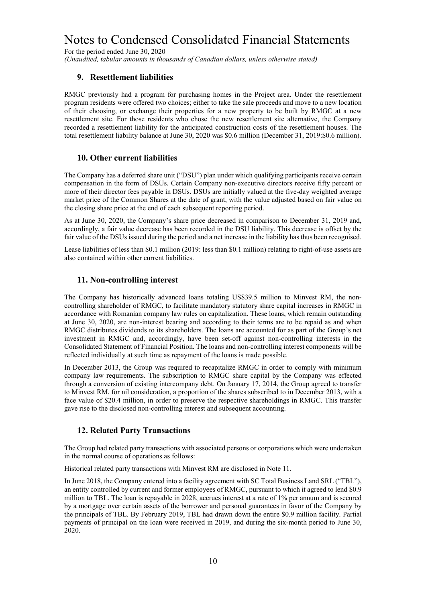For the period ended June 30, 2020

*(Unaudited, tabular amounts in thousands of Canadian dollars, unless otherwise stated)*

#### **9. Resettlement liabilities**

RMGC previously had a program for purchasing homes in the Project area. Under the resettlement program residents were offered two choices; either to take the sale proceeds and move to a new location of their choosing, or exchange their properties for a new property to be built by RMGC at a new resettlement site. For those residents who chose the new resettlement site alternative, the Company recorded a resettlement liability for the anticipated construction costs of the resettlement houses. The total resettlement liability balance at June 30, 2020 was \$0.6 million (December 31, 2019:\$0.6 million).

#### **10. Other current liabilities**

The Company has a deferred share unit ("DSU") plan under which qualifying participants receive certain compensation in the form of DSUs. Certain Company non-executive directors receive fifty percent or more of their director fees payable in DSUs. DSUs are initially valued at the five-day weighted average market price of the Common Shares at the date of grant, with the value adjusted based on fair value on the closing share price at the end of each subsequent reporting period.

As at June 30, 2020, the Company's share price decreased in comparison to December 31, 2019 and, accordingly, a fair value decrease has been recorded in the DSU liability. This decrease is offset by the fair value of the DSUs issued during the period and a net increase in the liability has thus been recognised.

Lease liabilities of less than \$0.1 million (2019: less than \$0.1 million) relating to right-of-use assets are also contained within other current liabilities.

#### **11. Non-controlling interest**

The Company has historically advanced loans totaling US\$39.5 million to Minvest RM, the noncontrolling shareholder of RMGC, to facilitate mandatory statutory share capital increases in RMGC in accordance with Romanian company law rules on capitalization. These loans, which remain outstanding at June 30, 2020, are non-interest bearing and according to their terms are to be repaid as and when RMGC distributes dividends to its shareholders. The loans are accounted for as part of the Group's net investment in RMGC and, accordingly, have been set-off against non-controlling interests in the Consolidated Statement of Financial Position. The loans and non-controlling interest components will be reflected individually at such time as repayment of the loans is made possible.

In December 2013, the Group was required to recapitalize RMGC in order to comply with minimum company law requirements. The subscription to RMGC share capital by the Company was effected through a conversion of existing intercompany debt. On January 17, 2014, the Group agreed to transfer to Minvest RM, for nil consideration, a proportion of the shares subscribed to in December 2013, with a face value of \$20.4 million, in order to preserve the respective shareholdings in RMGC. This transfer gave rise to the disclosed non-controlling interest and subsequent accounting.

#### **12. Related Party Transactions**

The Group had related party transactions with associated persons or corporations which were undertaken in the normal course of operations as follows:

Historical related party transactions with Minvest RM are disclosed in Note 11.

In June 2018, the Company entered into a facility agreement with SC Total Business Land SRL ("TBL"), an entity controlled by current and former employees of RMGC, pursuant to which it agreed to lend \$0.9 million to TBL. The loan is repayable in 2028, accrues interest at a rate of 1% per annum and is secured by a mortgage over certain assets of the borrower and personal guarantees in favor of the Company by the principals of TBL. By February 2019, TBL had drawn down the entire \$0.9 million facility. Partial payments of principal on the loan were received in 2019, and during the six-month period to June 30, 2020.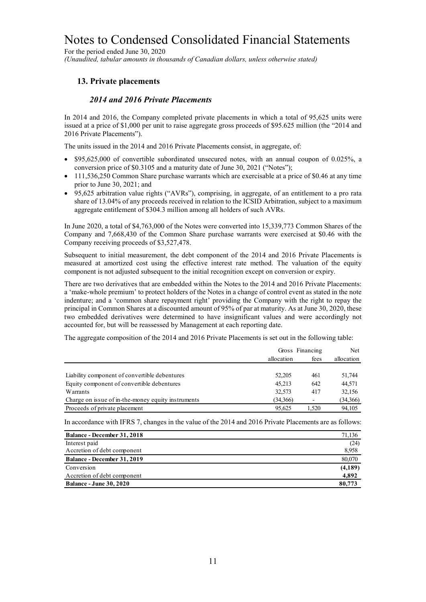For the period ended June 30, 2020 *(Unaudited, tabular amounts in thousands of Canadian dollars, unless otherwise stated)*

### **13. Private placements**

#### *2014 and 2016 Private Placements*

In 2014 and 2016, the Company completed private placements in which a total of 95,625 units were issued at a price of \$1,000 per unit to raise aggregate gross proceeds of \$95.625 million (the "2014 and 2016 Private Placements").

The units issued in the 2014 and 2016 Private Placements consist, in aggregate, of:

- \$95,625,000 of convertible subordinated unsecured notes, with an annual coupon of 0.025%, a conversion price of \$0.3105 and a maturity date of June 30, 2021 ("Notes");
- 111,536,250 Common Share purchase warrants which are exercisable at a price of \$0.46 at any time prior to June 30, 2021; and
- 95,625 arbitration value rights ("AVRs"), comprising, in aggregate, of an entitlement to a pro rata share of 13.04% of any proceeds received in relation to the ICSID Arbitration, subject to a maximum aggregate entitlement of \$304.3 million among all holders of such AVRs.

In June 2020, a total of \$4,763,000 of the Notes were converted into 15,339,773 Common Shares of the Company and 7,668,430 of the Common Share purchase warrants were exercised at \$0.46 with the Company receiving proceeds of \$3,527,478.

Subsequent to initial measurement, the debt component of the 2014 and 2016 Private Placements is measured at amortized cost using the effective interest rate method. The valuation of the equity component is not adjusted subsequent to the initial recognition except on conversion or expiry.

There are two derivatives that are embedded within the Notes to the 2014 and 2016 Private Placements: a 'make-whole premium' to protect holders of the Notes in a change of control event as stated in the note indenture; and a 'common share repayment right' providing the Company with the right to repay the principal in Common Shares at a discounted amount of 95% of par at maturity. As at June 30, 2020, these two embedded derivatives were determined to have insignificant values and were accordingly not accounted for, but will be reassessed by Management at each reporting date.

The aggregate composition of the 2014 and 2016 Private Placements is set out in the following table:

|                                                    |            | Gross Financing | <b>Net</b> |
|----------------------------------------------------|------------|-----------------|------------|
|                                                    | allocation | fees            | allocation |
|                                                    |            |                 |            |
| Liability component of convertible debentures      | 52,205     | 461             | 51.744     |
| Equity component of convertible debentures         | 45.213     | 642             | 44,571     |
| Warrants                                           | 32,573     | 417             | 32,156     |
| Charge on issue of in-the-money equity instruments | (34,366)   |                 | (34,366)   |
| Proceeds of private placement                      | 95.625     | 1.520           | 94,105     |

In accordance with IFRS 7, changes in the value of the 2014 and 2016 Private Placements are as follows:

| <b>Balance - December 31, 2018</b> | 71,136  |
|------------------------------------|---------|
| Interest paid                      | (24)    |
| Accretion of debt component        | 8,958   |
| Balance - December 31, 2019        | 80,070  |
| Conversion                         | (4,189) |
| Accretion of debt component        | 4,892   |
| <b>Balance - June 30, 2020</b>     | 80,773  |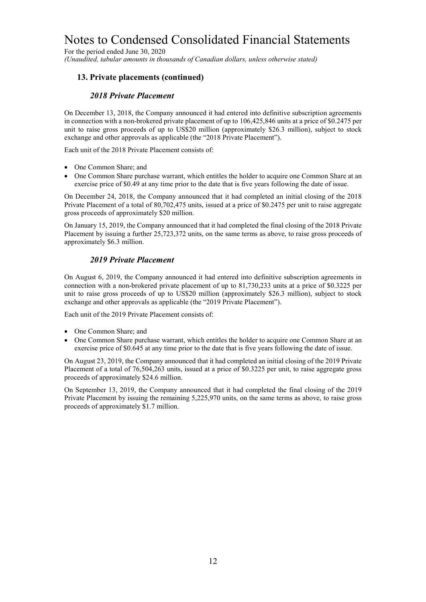For the period ended June 30, 2020

*(Unaudited, tabular amounts in thousands of Canadian dollars, unless otherwise stated)*

#### **13. Private placements (continued)**

#### *2018 Private Placement*

On December 13, 2018, the Company announced it had entered into definitive subscription agreements in connection with a non-brokered private placement of up to 106,425,846 units at a price of \$0.2475 per unit to raise gross proceeds of up to US\$20 million (approximately \$26.3 million), subject to stock exchange and other approvals as applicable (the "2018 Private Placement").

Each unit of the 2018 Private Placement consists of:

- One Common Share; and
- One Common Share purchase warrant, which entitles the holder to acquire one Common Share at an exercise price of \$0.49 at any time prior to the date that is five years following the date of issue.

On December 24, 2018, the Company announced that it had completed an initial closing of the 2018 Private Placement of a total of 80,702,475 units, issued at a price of \$0.2475 per unit to raise aggregate gross proceeds of approximately \$20 million.

On January 15, 2019, the Company announced that it had completed the final closing of the 2018 Private Placement by issuing a further 25,723,372 units, on the same terms as above, to raise gross proceeds of approximately \$6.3 million.

#### *2019 Private Placement*

On August 6, 2019, the Company announced it had entered into definitive subscription agreements in connection with a non-brokered private placement of up to 81,730,233 units at a price of \$0.3225 per unit to raise gross proceeds of up to US\$20 million (approximately \$26.3 million), subject to stock exchange and other approvals as applicable (the "2019 Private Placement").

Each unit of the 2019 Private Placement consists of:

- One Common Share; and
- One Common Share purchase warrant, which entitles the holder to acquire one Common Share at an exercise price of \$0.645 at any time prior to the date that is five years following the date of issue.

On August 23, 2019, the Company announced that it had completed an initial closing of the 2019 Private Placement of a total of 76,504,263 units, issued at a price of \$0.3225 per unit, to raise aggregate gross proceeds of approximately \$24.6 million.

On September 13, 2019, the Company announced that it had completed the final closing of the 2019 Private Placement by issuing the remaining 5,225,970 units, on the same terms as above, to raise gross proceeds of approximately \$1.7 million.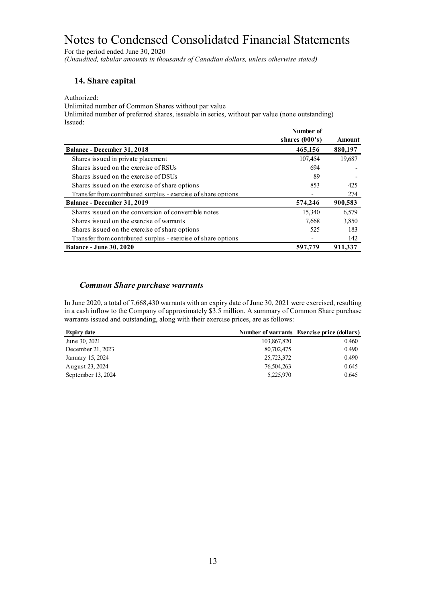For the period ended June 30, 2020 *(Unaudited, tabular amounts in thousands of Canadian dollars, unless otherwise stated)*

#### **14. Share capital**

#### Authorized:

Unlimited number of Common Shares without par value

Unlimited number of preferred shares, issuable in series, without par value (none outstanding) Issued:

|                                                               | Number of        |               |
|---------------------------------------------------------------|------------------|---------------|
|                                                               | shares $(000's)$ | <b>Amount</b> |
| <b>Balance - December 31, 2018</b>                            | 465,156          | 880,197       |
| Shares issued in private placement                            | 107,454          | 19,687        |
| Shares issued on the exercise of RSUs                         | 694              |               |
| Shares issued on the exercise of DSUs                         | 89               |               |
| Shares issued on the exercise of share options                | 853              | 425           |
| Transfer from contributed surplus - exercise of share options |                  | 274           |
| Balance - December 31, 2019                                   | 574,246          | 900,583       |
| Shares issued on the conversion of convertible notes          | 15,340           | 6,579         |
| Shares issued on the exercise of warrants                     | 7,668            | 3,850         |
| Shares issued on the exercise of share options                | 525              | 183           |
| Transfer from contributed surplus - exercise of share options |                  | 142           |
| <b>Balance - June 30, 2020</b>                                | 597,779          | 911,337       |

#### *Common Share purchase warrants*

In June 2020, a total of 7,668,430 warrants with an expiry date of June 30, 2021 were exercised, resulting in a cash inflow to the Company of approximately \$3.5 million. A summary of Common Share purchase warrants issued and outstanding, along with their exercise prices, are as follows:

| <b>Expiry date</b> |             | Number of warrants Exercise price (dollars) |
|--------------------|-------------|---------------------------------------------|
| June 30, 2021      | 103,867,820 | 0.460                                       |
| December 21, 2023  | 80,702,475  | 0.490                                       |
| January 15, 2024   | 25,723,372  | 0.490                                       |
| August 23, 2024    | 76,504,263  | 0.645                                       |
| September 13, 2024 | 5,225,970   | 0.645                                       |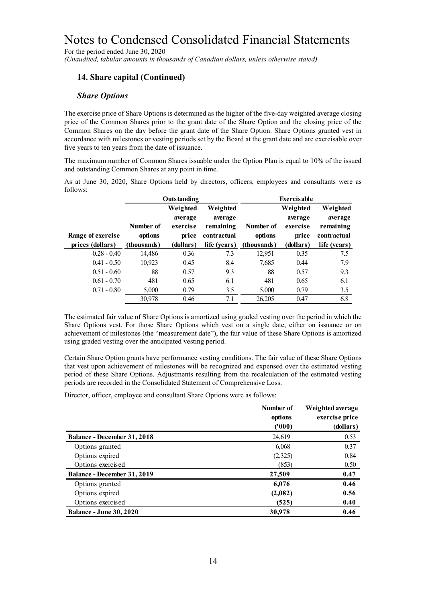For the period ended June 30, 2020

*(Unaudited, tabular amounts in thousands of Canadian dollars, unless otherwise stated)*

### **14. Share capital (Continued)**

#### *Share Options*

The exercise price of Share Options is determined as the higher of the five-day weighted average closing price of the Common Shares prior to the grant date of the Share Option and the closing price of the Common Shares on the day before the grant date of the Share Option. Share Options granted vest in accordance with milestones or vesting periods set by the Board at the grant date and are exercisable over five years to ten years from the date of issuance.

The maximum number of Common Shares issuable under the Option Plan is equal to 10% of the issued and outstanding Common Shares at any point in time.

As at June 30, 2020, Share Options held by directors, officers, employees and consultants were as follows:

|                   |             | <b>Outstanding</b> |              |              | <b>Exercisable</b> |              |
|-------------------|-------------|--------------------|--------------|--------------|--------------------|--------------|
|                   |             | Weighted           | Weighted     |              | Weighted           | Weighted     |
|                   |             | average            | average      |              | average            | average      |
|                   | Number of   | exercise           | remaining    | Number of    | exercise           | remaining    |
| Range of exercise | options     | price              | contractual  | options      | price              | contractual  |
| prices (dollars)  | (thousands) | (dollars)          | life (years) | (thous ands) | (dollars)          | life (years) |
| $0.28 - 0.40$     | 14,486      | 0.36               | 7.3          | 12,951       | 0.35               | 7.5          |
| $0.41 - 0.50$     | 10.923      | 0.45               | 8.4          | 7,685        | 0.44               | 7.9          |
| $0.51 - 0.60$     | 88          | 0.57               | 9.3          | 88           | 0.57               | 9.3          |
| $0.61 - 0.70$     | 481         | 0.65               | 6.1          | 481          | 0.65               | 6.1          |
| $0.71 - 0.80$     | 5,000       | 0.79               | 3.5          | 5,000        | 0.79               | 3.5          |
|                   | 30,978      | 0.46               | 7.1          | 26,205       | 0.47               | 6.8          |

The estimated fair value of Share Options is amortized using graded vesting over the period in which the Share Options vest. For those Share Options which vest on a single date, either on issuance or on achievement of milestones (the "measurement date"), the fair value of these Share Options is amortized using graded vesting over the anticipated vesting period.

Certain Share Option grants have performance vesting conditions. The fair value of these Share Options that vest upon achievement of milestones will be recognized and expensed over the estimated vesting period of these Share Options. Adjustments resulting from the recalculation of the estimated vesting periods are recorded in the Consolidated Statement of Comprehensive Loss.

Director, officer, employee and consultant Share Options were as follows:

|                                    | Number of<br>options<br>(1000) | Weighted average<br>exercise price<br>(dollars) |
|------------------------------------|--------------------------------|-------------------------------------------------|
| <b>Balance - December 31, 2018</b> | 24,619                         | 0.53                                            |
| Options granted                    | 6,068                          | 0.37                                            |
| Options expired                    | (2,325)                        | 0.84                                            |
| Options exercised                  | (853)                          | 0.50                                            |
| Balance - December 31, 2019        | 27,509                         | 0.47                                            |
| Options granted                    | 6,076                          | 0.46                                            |
| Options expired                    | (2,082)                        | 0.56                                            |
| Options exercised                  | (525)                          | 0.40                                            |
| <b>Balance - June 30, 2020</b>     | 30,978                         | 0.46                                            |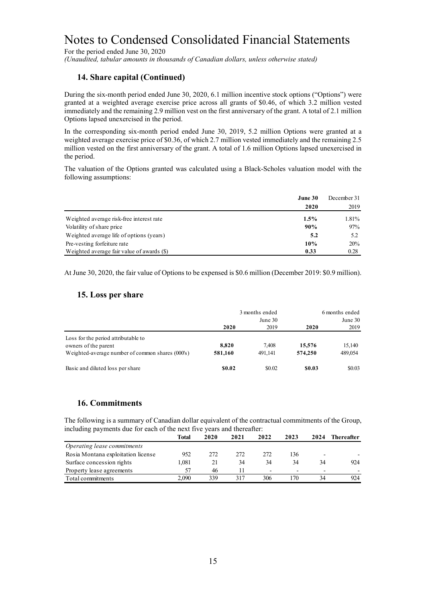For the period ended June 30, 2020

*(Unaudited, tabular amounts in thousands of Canadian dollars, unless otherwise stated)*

#### **14. Share capital (Continued)**

During the six-month period ended June 30, 2020, 6.1 million incentive stock options ("Options") were granted at a weighted average exercise price across all grants of \$0.46, of which 3.2 million vested immediately and the remaining 2.9 million vest on the first anniversary of the grant. A total of 2.1 million Options lapsed unexercised in the period.

In the corresponding six-month period ended June 30, 2019, 5.2 million Options were granted at a weighted average exercise price of \$0.36, of which 2.7 million vested immediately and the remaining 2.5 million vested on the first anniversary of the grant. A total of 1.6 million Options lapsed unexercised in the period.

The valuation of the Options granted was calculated using a Black-Scholes valuation model with the following assumptions:

|                                            | June 30<br>2020 | December 31<br>2019 |
|--------------------------------------------|-----------------|---------------------|
| Weighted average risk-free interest rate   | $1.5\%$         | 1.81%               |
| Volatility of share price                  | 90%             | 97%                 |
| Weighted average life of options (years)   | 5.2             | 5.2                 |
| Pre-vesting forfeiture rate                | 10%             | 20%                 |
| Weighted average fair value of awards (\$) | 0.33            | 0.28                |

At June 30, 2020, the fair value of Options to be expensed is \$0.6 million (December 2019: \$0.9 million).

#### **15. Loss per share**

|                                                  |         | 3 months ended |         | 6 months ended |  |
|--------------------------------------------------|---------|----------------|---------|----------------|--|
|                                                  |         | June 30        |         | June 30        |  |
|                                                  | 2020    | 2019           | 2020    | 2019           |  |
| Loss for the period attributable to              |         |                |         |                |  |
| owners of the parent                             | 8.820   | 7.408          | 15.576  | 15,140         |  |
| Weighted-average number of common shares (000's) | 581,160 | 491.141        | 574,250 | 489,054        |  |
| Basic and diluted loss per share                 | \$0.02  | \$0.02         | \$0.03  | \$0.03         |  |

#### **16. Commitments**

The following is a summary of Canadian dollar equivalent of the contractual commitments of the Group, including payments due for each of the next five years and thereafter:

|                                    | Total | 2020 | 2021 | 2022 | 2023                     | 2024                     | Thereafter |
|------------------------------------|-------|------|------|------|--------------------------|--------------------------|------------|
| Operating lease commitments        |       |      |      |      |                          |                          |            |
| Rosia Montana exploitation license | 952   | 272  | 2.72 | 272  | l36                      | $\overline{\phantom{0}}$ |            |
| Surface concession rights          | 1.081 |      | 34   | 34   | 34                       | 34                       | 924        |
| Property lease agreements          | 57    | 46   |      |      | $\overline{\phantom{0}}$ | $\overline{\phantom{0}}$ |            |
| Total commitments                  | 2.090 | 339  | 317  | 306  | 170                      | 34                       | 924        |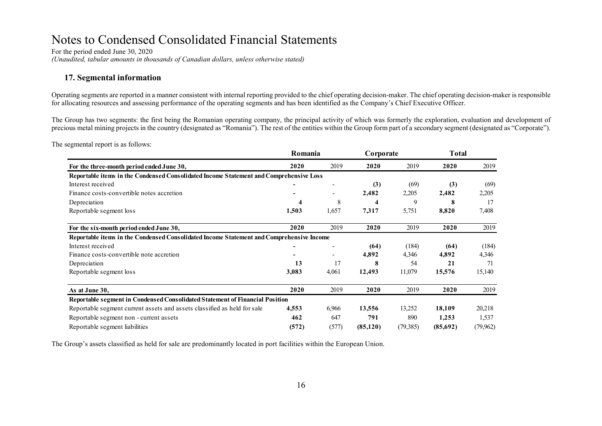For the period ended June 30, 2020 *(Unaudited, tabular amounts in thousands of Canadian dollars, unless otherwise stated)*

#### **17. Segmental information**

Operating segments are reported in a manner consistent with internal reporting provided to the chief operating decision-maker. The chief operating decision-maker is responsible for allocating resources and assessing performance of the operating segments and has been identified as the Company's Chief Executive Officer.

The Group has two segments: the first being the Romanian operating company, the principal activity of which was formerly the exploration, evaluation and development of precious metal mining projects in the country (designated as "Romania"). The rest of the entities within the Group form part of a secondary segment (designated as "Corporate").

The segmental report is as follows:

|                                                                                          | Romania |                          | Corporate |           | <b>Total</b> |          |
|------------------------------------------------------------------------------------------|---------|--------------------------|-----------|-----------|--------------|----------|
| For the three-month period ended June 30,                                                | 2020    | 2019                     | 2020      | 2019      | 2020         | 2019     |
| Reportable items in the Condensed Consolidated Income Statement and Comprehensive Loss   |         |                          |           |           |              |          |
| Interest received                                                                        |         | $\overline{\phantom{a}}$ | (3)       | (69)      | (3)          | (69)     |
| Finance costs-convertible notes accretion                                                |         |                          | 2,482     | 2,205     | 2,482        | 2,205    |
| Depreciation                                                                             | 4       | 8                        |           | 9         | 8            | 17       |
| Reportable segment loss                                                                  | 1,503   | 1,657                    | 7,317     | 5,751     | 8,820        | 7,408    |
| For the six-month period ended June 30,                                                  | 2020    | 2019                     | 2020      | 2019      | 2020         | 2019     |
| Reportable items in the Condensed Consolidated Income Statement and Comprehensive Income |         |                          |           |           |              |          |
| Interest received                                                                        |         |                          | (64)      | (184)     | (64)         | (184)    |
| Finance costs-convertible note accretion                                                 |         |                          | 4,892     | 4,346     | 4,892        | 4,346    |
| Depreciation                                                                             | 13      | 17                       |           | 54        | 21           | 71       |
| Reportable segment loss                                                                  | 3,083   | 4,061                    | 12,493    | 11,079    | 15,576       | 15,140   |
| As at June 30,                                                                           | 2020    | 2019                     | 2020      | 2019      | 2020         | 2019     |
| Reportable segment in Condensed Consolidated Statement of Financial Position             |         |                          |           |           |              |          |
| Reportable segment current assets and assets classified as held for sale                 | 4,553   | 6,966                    | 13,556    | 13,252    | 18,109       | 20,218   |
| Reportable segment non - current assets                                                  | 462     | 647                      | 791       | 890       | 1,253        | 1,537    |
| Reportable segment liabilities                                                           | (572)   | (577)                    | (85, 120) | (79, 385) | (85,692)     | (79,962) |

The Group's assets classified as held for sale are predominantly located in port facilities within the European Union.